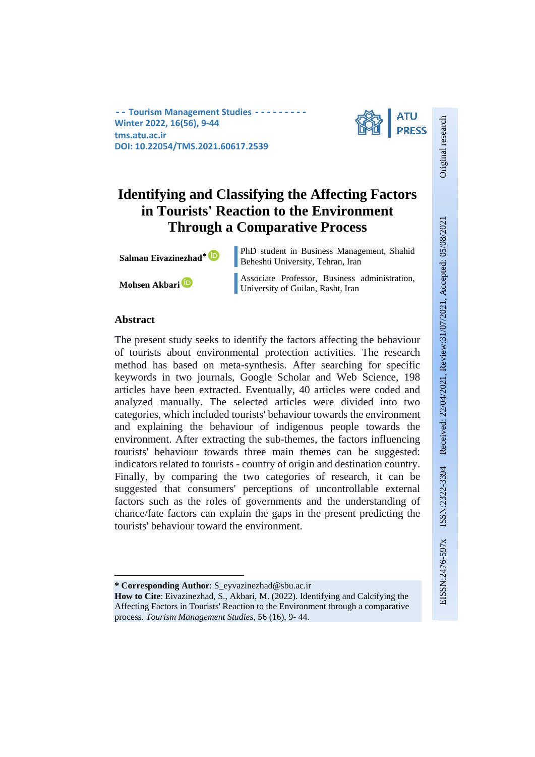**-- Tourism Management Studies --Winter 2022, 16(56), 9-44 tms.atu.ac.ir DOI: 10.22054/TMS.2021.60617.2539**



# **Identifying and Classifying the Affecting Factors in Tourists' Reaction to the Environment Through a Comparative Process**

**Salman Eivazinezhad<sup>∗</sup> D** PhD student in Business Management, Shahid Beheshti University, Tehran, Iran

**Mohsen Akbari Associate Professor, Business administration,** University of Guilan, Rasht, Iran

# **Abstract**

 $\overline{\phantom{a}}$ 

The present study seeks to identify the factors affecting the behaviour of tourists about environmental protection activities. The research method has based on meta-synthesis. After searching for specific keywords in two journals, Google Scholar and Web Science, 198 articles have been extracted. Eventually, 40 articles were coded and analyzed manually. The selected articles were divided into two categories, which included tourists' behaviour towards the environment and explaining the behaviour of indigenous people towards the environment. After extracting the sub-themes, the factors influencing tourists' behaviour towards three main themes can be suggested: indicators related to tourists - country of origin and destination country. Finally, by comparing the two categories of research, it can be suggested that consumers' perceptions of uncontrollable external factors such as the roles of governments and the understanding of chance/fate factors can explain the gaps in the present predicting the tourists' behaviour toward the environment.

Original research

**<sup>\*</sup> Corresponding Author**: S\_eyvazinezhad@sbu.ac.ir

**How to Cite**: Eivazinezhad, S., Akbari, M. (2022). Identifying and Calcifying the Affecting Factors in Tourists' Reaction to the Environment through a comparative process. *Tourism Management Studies*, 56 (16), 9- 44.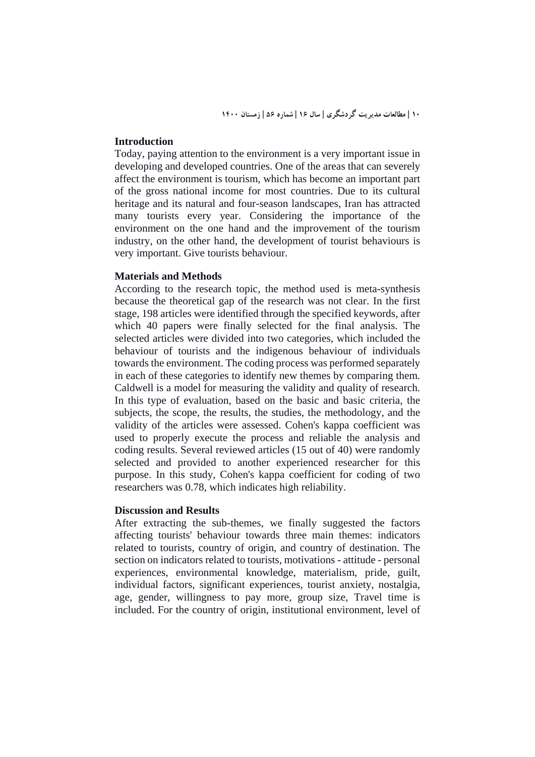## **Introduction**

Today, paying attention to the environment is a very important issue in developing and developed countries. One of the areas that can severely affect the environment is tourism, which has become an important part of the gross national income for most countries. Due to its cultural heritage and its natural and four-season landscapes, Iran has attracted many tourists every year. Considering the importance of the environment on the one hand and the improvement of the tourism industry, on the other hand, the development of tourist behaviours is very important. Give tourists behaviour.

## **Materials and Methods**

According to the research topic, the method used is meta-synthesis because the theoretical gap of the research was not clear. In the first stage, 198 articles were identified through the specified keywords, after which 40 papers were finally selected for the final analysis. The selected articles were divided into two categories, which included the behaviour of tourists and the indigenous behaviour of individuals towards the environment. The coding process was performed separately in each of these categories to identify new themes by comparing them. Caldwell is a model for measuring the validity and quality of research. In this type of evaluation, based on the basic and basic criteria, the subjects, the scope, the results, the studies, the methodology, and the validity of the articles were assessed. Cohen's kappa coefficient was used to properly execute the process and reliable the analysis and coding results. Several reviewed articles (15 out of 40) were randomly selected and provided to another experienced researcher for this purpose. In this study, Cohen's kappa coefficient for coding of two researchers was 0.78, which indicates high reliability.

## **Discussion and Results**

After extracting the sub-themes, we finally suggested the factors affecting tourists' behaviour towards three main themes: indicators related to tourists, country of origin, and country of destination. The section on indicators related to tourists, motivations - attitude - personal experiences, environmental knowledge, materialism, pride, guilt, individual factors, significant experiences, tourist anxiety, nostalgia, age, gender, willingness to pay more, group size, Travel time is included. For the country of origin, institutional environment, level of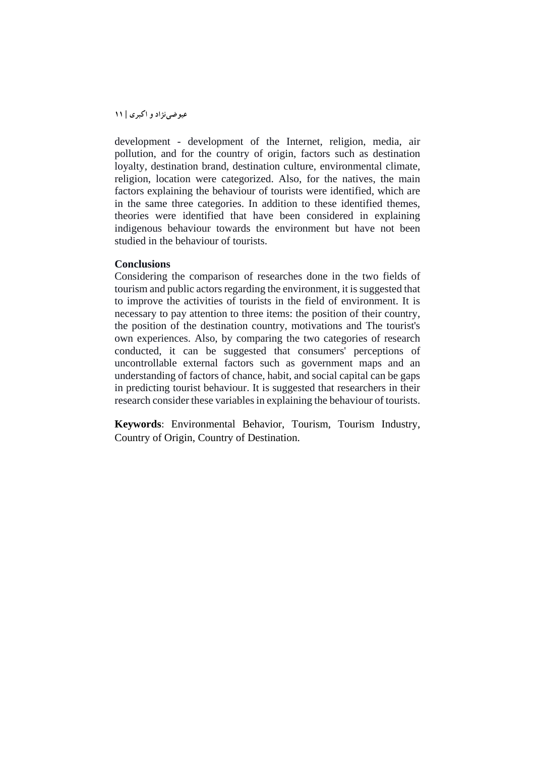development - development of the Internet, religion, media, air pollution, and for the country of origin, factors such as destination loyalty, destination brand, destination culture, environmental climate, religion, location were categorized. Also, for the natives, the main factors explaining the behaviour of tourists were identified, which are in the same three categories. In addition to these identified themes, theories were identified that have been considered in explaining indigenous behaviour towards the environment but have not been studied in the behaviour of tourists.

#### **Conclusions**

Considering the comparison of researches done in the two fields of tourism and public actors regarding the environment, it is suggested that to improve the activities of tourists in the field of environment. It is necessary to pay attention to three items: the position of their country, the position of the destination country, motivations and The tourist's own experiences. Also, by comparing the two categories of research conducted, it can be suggested that consumers' perceptions of uncontrollable external factors such as government maps and an understanding of factors of chance, habit, and social capital can be gaps in predicting tourist behaviour. It is suggested that researchers in their research consider these variables in explaining the behaviour of tourists.

**Keywords**: Environmental Behavior, Tourism, Tourism Industry, Country of Origin, Country of Destination.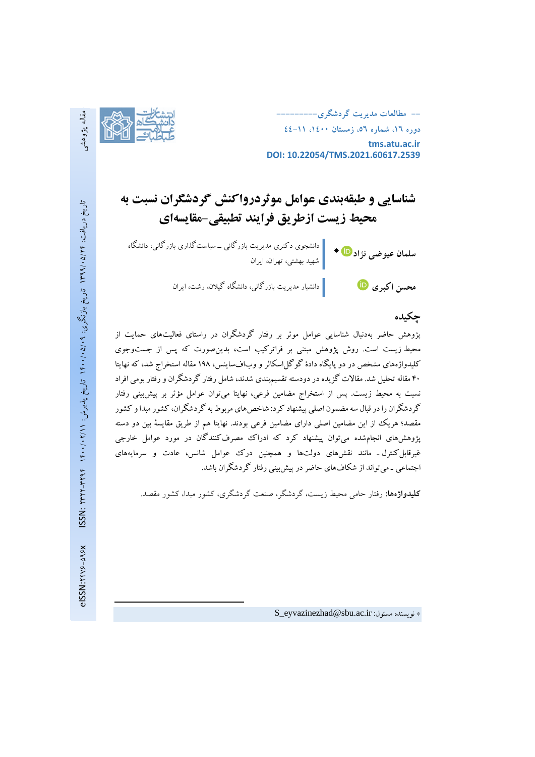

**-- مطالعات مدیریت گردشگري--------- دوره ،16 شماره ،56 زمستان ،1400 44-11 tms.atu.ac.ir DOI: 10.22054/TMS.2021.60617.2539**

# **شناسایی و طبقهبندي عوامل موثردرواکنش گردشگران نسبت به محیط زیست ازطریق فرایند تطبیقی-مقایسهاي**

دانشجوي دکتري مدیریت بازرگانی ـ سیاستگذاري بازرگانی، دانشگاه **سلمان عیوضی نژاد** شهید بهشتی، تهران، ایران **محسن اکبري** دانشیار مدیریت بازرگانی، دانشگاه گیلان، رشت، ایران

# **چکیده**

پژوهش حاضر بهدنبال شناسایی عوامل موثر بر رفتار گردشگران در راستاي فعالیتهاي حمایت از محیط زیست است. روش پژوهش مبتنی بر فراترکیب است، بدینصورت که پس از جستوجوي کلیدواژههای مشخص در دو پایگاه دادهٔ گوگل|سکالر و وبافساینس، ۱۹۸ مقاله استخراج شد، که نهایتا 40 مقاله تحلیل شد. مقالات گزیده در دودسته تقسیمبندي شدند، شامل رفتار گردشگران و رفتار بومی افراد نسبت به محیط زیست. پس از استخراج مضامین فرعی، نهایتا میتوان عوامل مؤثر بر پیشبینی رفتار گردشگران را در قبال سه مضمون اصلی پیشنهاد کرد: شاخصهاي مربوط به گردشگران، کشور مبداو کشور مقصد؛ هریک از این مضامین اصلی داراي مضامین فرعی بودند. نهایتا هم از طریق مقایسۀ بین دو دسته پژوهشهاي انجامشده میتوان پیشنهاد کرد که ادراك مصرفکنندگان در مورد عوامل خارجی غیرقابلکنترل ـ مانند نقشهاي دولتها و همچنین درك عوامل شانس، عادت و سرمایههاي اجتماعی ـ میتواند از شکافهاي حاضر در پیشبینی رفتار گردشگران باشد.

**کلیدواژهها:** رفتار حامی محیط زیست، گردشگر، صنعت گردشگري، کشور مبدا، کشور مقصد.

 $\overline{\phantom{a}}$ 

S\_eyvazinezhad@sbu.ac.ir :مسئول نویسنده\*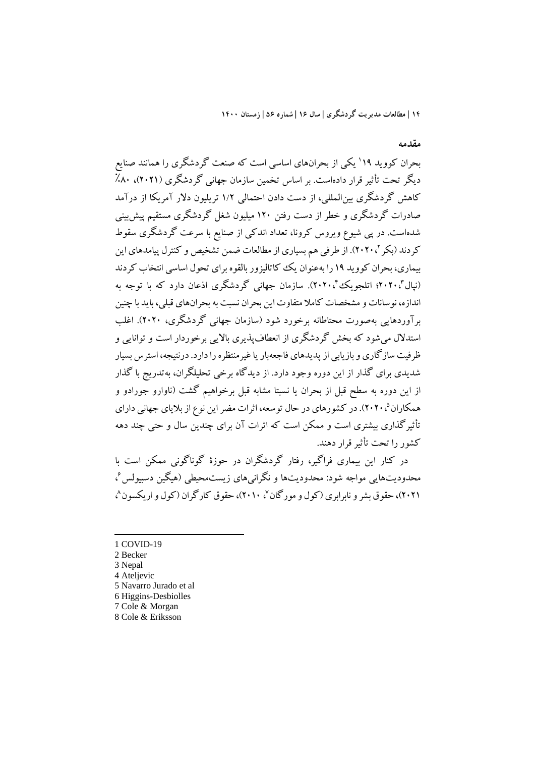**مقدمه**

بحران کووید ۱۹' یکی از بحرانهای اساسی است که صنعت گردشگری را همانند صنایع دیگر تحت تأثیر قرار دادهاست. بر اساس تخمین سازمان جهانی گردشگري (2021)، ٪80 کاهش گردشگري بینالمللی، از دست دادن احتمالی 1/2 تریلیون دلار آمریکا از درآمد صادرات گردشگري و خطر از دست رفتن 120 میلیون شغل گردشگري مستقیم پیشبینی شدهاست. در پی شیوع ویروس کرونا، تعداد اندکی از صنایع با سرعت گردشگري سقوط کردند (بکر '، ۲۰۲۰). از طرفی هم بسیاری از مطالعات ضمن تشخیص و کنترل پیامدهای این بیماري، بحران کووید 19 را بهعنوان یک کاتالیزور بالقوه براي تحول اساسی انتخاب کردند (نیال"، ۲۰۲۰؛ اتلجویک ٔ'۲۰۲۰). سازمان جهانی گردشگری اذعان دارد که با توجه به اندازه، نوسانات و مشخصات کاملا متفاوت این بحران نسبت به بحرانهاي قبلی، باید با چنین برآوردهایی بهصورت محتاطانه برخورد شود (سازمان جهانی گردشگري، 2020). اغلب استدلال میشود که بخش گردشگري از انعطافپذیري بالایی برخوردار است و توانایی و ظرفیت سازگاري و بازیابی از پدیدهاي فاجعهبار یا غیرمنتظره را دارد. درنتیجه، استرس بسیار شدیدي براي گذار از این دوره وجود دارد. از دیدگاه برخی تحلیلگران، بهتدریج با گذار از این دوره به سطح قبل از بحران یا نسبتا مشابه قبل برخواهیم گشت (ناوارو جورادو و همکاران<sup>۵</sup>، ۲۰۲۰). در کشورهاي در حال توسعه، اثرات مضر این نوع از بلایاي جهانی داراي تأثیرگذاري بیشتري است و ممکن است که اثرات آن براي چندین سال و حتی چند دهه کشور را تحت تأثیرقرار دهند.

در کنار این بیماري فراگیر، رفتار گردشگران در حوزة گوناگونی ممکن است با 6 محدودیتهایی مواجه شود: محدودیتها و نگرانیهاي زیستمحیطی (هیگین دسبیولس ، ۲۰۲۱)، حقوق پشر و نابرابري (کول و مورگان <sup>۷</sup>، ۲۰۱۰)، حقوق کار گران (کول و اریکسون <sup>م</sup>ی

1 COVID-19 2 Becker 3 Nepal Ateljevic Navarro Jurado et al Higgins-Desbiolles Cole & Morgan Cole & Eriksson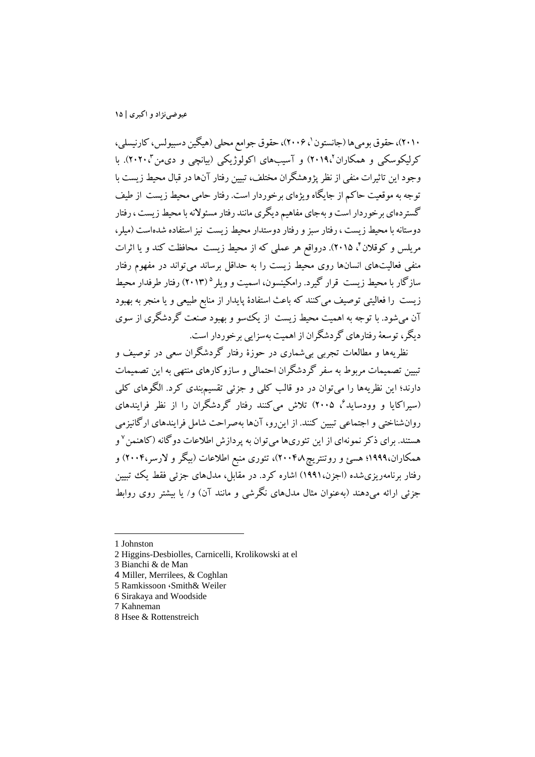،٤٠١)، حقوق بومیها (جانستون '، ٢٠٠۶)، حقوق جوامع محلی (هیگین دسبیولس، کارنیسلی، کرلیکوسکی و همکاران'،۲۰۱۹) و آسیبهای اکولوژیکی (بیانچی و دیمن'۲۰۲۰). با وجود این تاثیرات منفی از نظر پژوهشگران مختلف، تبیین رفتار آنهادر قبال محیط زیست با توجه به موقعیت حاکم از جایگاه ویژهاي برخوردار است. رفتار حامی محیط زیست از طیف گستردهاي برخوردار است و بهجاي مفاهیم دیگري مانند رفتار مسئولانهبا محیطزیست ، رفتار دوستانه با محیط زیست ، رفتار سبز و رفتار دوستدار محیط زیست نیز استفاده شدهاست (میلر، مریلس و کوقلان ٔ، ۲۰۱۵). درواقع هر عملی که از محیط زیست ًمحافظت کند و یا اثرات منفی فعالیتهاي انسانها روي محیط زیست را به حداقل برساند میتواند در مفهوم رفتار سازگار با محیط زیست قرار گیرد. رامکینسون، اسمیت و ویلر ° (۲۰۱۳) رفتار طرفدار محیط زیست را فعالیتی توصیف میکنند که باعث استفادة پایدار از منابع طبیعی و یا منجر به بهبود آن میشود. با توجه به اهمیت محیط زیست از یکسو و بهبود صنعت گردشگري از سوي دیگر، توسعۀ رفتارهاي گردشگران از اهمیت بهسزایی برخوردار است.

نظریهها و مطالعات تجربی بیشماري در حوزة رفتار گردشگران سعی در توصیف و تبیین تصمیمات مربوط به سفر گردشگران احتمالی و سازوکارهاي منتهی به این تصمیمات دارند؛ این نظریهها را میتوان در دو قالب کلی و جزئی تقسیمبندي کرد. الگوهاي کلی ، 2005) تلاش میکنند رفتار گردشگران را از نظر فرایندهاي <sup>6</sup> (سیراکایا و وودساید روانشناختی و اجتماعی تبیین کنند. از اینرو، آنها بهصراحت شامل فرایندهاي ارگانیزمی هستند. برای ذکر نمونهای از این تئوریها میتوان به پردازش اطلاعات دوگانه (کاهنمن <sup>۷</sup> و همکاران1999،؛ هسئ و روتنتریچ2004،8)، تئوري منبع اطلاعات (بیگر و لارسر2004،) و رفتار برنامهریزيشده (اجزن1991،) اشاره کرد. در مقابل، مدلهاي جزئی فقط یک تبیین جزئی ارائه میدهند (بهعنوان مثال مدلهاي نگرشی و مانند آن) و/ یا بیشتر روي روابط

<sup>1</sup> Johnston

<sup>2</sup> Higgins-Desbiolles, Carnicelli, Krolikowski at el

<sup>3</sup> Bianchi & de Man

<sup>4</sup> Miller, Merrilees, & Coghlan

<sup>5</sup> Ramkissoon ،Smith& Weiler

<sup>6</sup> Sirakaya and Woodside

<sup>7</sup> Kahneman

<sup>8</sup> Hsee & Rottenstreich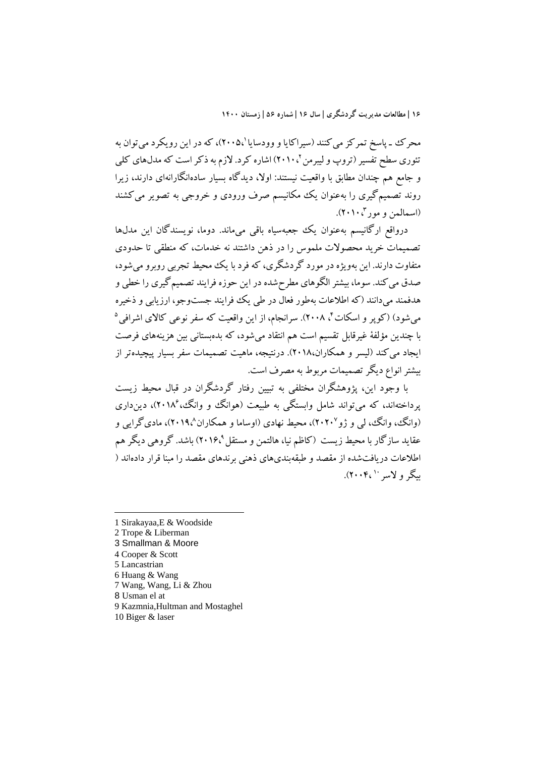محرک ـ پاسخ تمرکز می کنند (سیراکایا و وودسایا '،۲۰۰۵)، که در این رویکرد میتوان به تئوري سطح تفسیر (تروپ و لیبرمن ٢٠١٠،٢) اشاره کرد. لازم به ذکر است که مدلهاي کلي و جامع هم چندان مطابق با واقعیت نیستند: اولا، دیدگاه بسیار سادهانگارانهاي دارند، زیرا روند تصمیمگیري را بهعنوان یک مکانیسم صرف ورودي و خروجی به تصویر میکشند 2010،). <sup>3</sup> (اسمالمن و مور

درواقع ارگانیسم بهعنوان یک جعبهسیاه باقی میماند. دوما، نویسندگان این مدلها تصمیمات خرید محصولات ملموس را در ذهن داشتند نه خدمات، که منطقی تا حدودي متفاوت دارند. این بهویژهدر مورد گردشگري، که فرد با یک محیط تجربی روبرو میشود، صدق میکند. سوما، بیشتر الگوهاي مطرحشدهدر این حوزه فرایند تصمیمگیري را خطی و هدفمند میدانند (که اطلاعات بهطور فعال در طی یک فرایند جستوجو، ارزیابی و ذخیره میشود) (کوپر و اسکات 5 ، 2008). سرانجام، از این واقعیت که سفر نوعی کالاي اشرافی <sup>4</sup> با چندین مؤلفۀ غیرقابل تقسیم است هم انتقاد میشود، که بدهبستانی بین هزینههاي فرصت ایجاد می کند (لیسر و همکاران،۲۰۱۸). درنتیجه، ماهیت تصمیمات سفر بسیار پیچیدهتر از بیشترانواع دیگرتصمیمات مربوط به مصرف است.

با وجود این، پژوهشگران مختلفی به تبیین رفتار گردشگران در قبال محیط زیست یرداختهاند، که می تواند شامل وابستگی به طبیعت (هوانگ و وانگ، ۲۰۱۸<sup>0</sup>)، دین داری (وانگ، وانگ، لي و ژو ۲۰۲۰')، محیط نهادي (اوساما و همکاران ۲۰۱۹،')، ماديگرايي و عقاید سازگار با محیط زیست (کاظم نیا، هالتمن و مستقل ۲۰۱۶٬<sup>۹</sup>) باشد. گروهی دیگر هم اطلاعات دریافتشده از مقصد و طبقهبنديهاي ذهنی برندهاي مقصد را مبنا قرار دادهاند ( سگر و لاسر ۲۰۰۴٬<sup>۱۰</sup>.

- 1 Sirakayaa,E & Woodside
- 2 Trope & Liberman
- 3 Smallman & Moore
- 4 Cooper & Scott

- 5 Lancastrian
- 6 Huang & Wang
- 7 Wang, Wang, Li & Zhou
- 8 Usman el at
- 9 Kazmnia,Hultman and Mostaghel
- 10 Biger & laser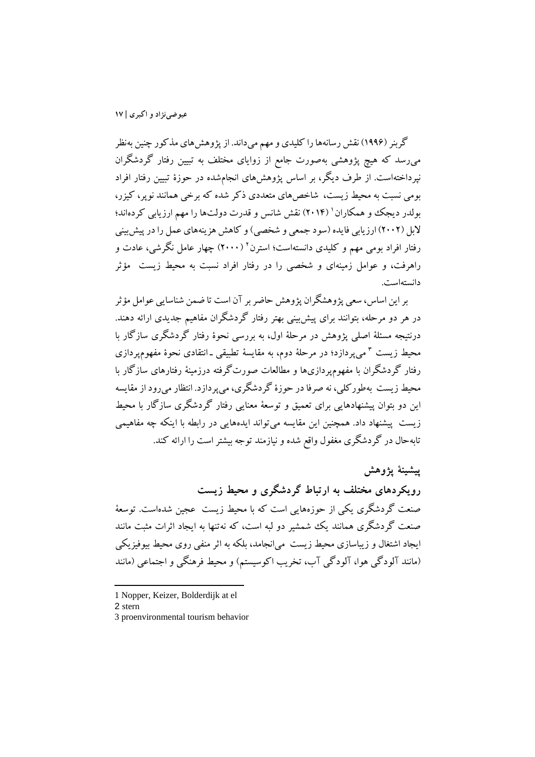گربنر (1996) نقش رسانههارا کلیدي و مهم میداند. از پژوهشهاي مذکور چنین بهنظر میرسد که هیچ پژوهشی بهصورت جامع از زوایاي مختلف به تبیین رفتار گردشگران نپرداختهاست. از طرف دیگر، بر اساس پژوهشهاي انجامشده در حوزة تبیین رفتار افراد بومی نسبت به محیط زیست، شاخصهاي متعددي ذکر شده که برخی همانند نوپر، کیزر، بولدر دیجک و همکاران ( ۲۰۱۴) نقش شانس و قدرت دولتها را مهم ارزیابی کردهاند؛ لابل (2002) ارزیابی فایده (سود جمعی و شخصی)و کاهش هزینههاي عمل را در پیشبینی رفتار افراد بومی مهم و کلیدی دانستهاست؛ استرن<sup>۲</sup> (۲۰۰۰) چهار عامل نگرشی، عادت و راهرفت، و عوامل زمینهاي و شخصی را در رفتار افراد نسبت به محیط زیست مؤثر دانستهاست.

بر این اساس، سعی پژوهشگران پژوهش حاضر بر آن است تا ضمن شناسایی عوامل مؤثر در هر دو مرحله، بتوانند براي پیشبینی بهتر رفتار گردشگران مفاهیم جدیدي ارائه دهند. درنتیجه مسئلۀ اصلی پژوهش در مرحلۀ اول، به بررسی نحوة رفتار گردشگري سازگار با 3 محیط زیست میپردازد؛ در مرحلۀ دوم، به مقایسۀ تطبیقی ـ انتقادي نحوة مفهومپردازي رفتار گردشگران با مفهومپردازيها و مطالعات صورتگرفته درزمینۀ رفتارهاي سازگار با محیط زیست بهطورکلی، نه صرفا در حوزة گردشگري، میپردازد. انتظارمیروداز مقایسه این دو بتوان پیشنهادهایی براي تعمیق و توسعۀ معنایی رفتار گردشگري سازگار با محیط زیست پیشنهاد داد. همچنین این مقایسه میتواند ایدههایی در رابطه با اینکه چه مفاهیمی تابهحال در گردشگري مغفول واقع شده و نیازمند توجه بیشتراست را ارائه کند.

**پیشینۀ پژوهش رویکردهاي مختلف به ارتباط گردشگري و محیط زیست** صنعت گردشگري یکی از حوزههایی است که با محیط زیست عجین شدهاست. توسعۀ صنعت گردشگري همانند یک شمشیر دو لبه است، که نهتنها به ایجاد اثرات مثبت مانند ایجاد اشتغال و زیباسازي محیط زیست میانجامد، بلکه به اثر منفی روي محیط بیوفیزیکی (مانند آلودگی هوا، آلودگی آب، تخریب اکوسیستم) و محیط فرهنگی و اجتماعی (مانند

l

<sup>1</sup> Nopper, Keizer, Bolderdijk at el

<sup>2</sup> stern

<sup>3</sup> proenvironmental tourism behavior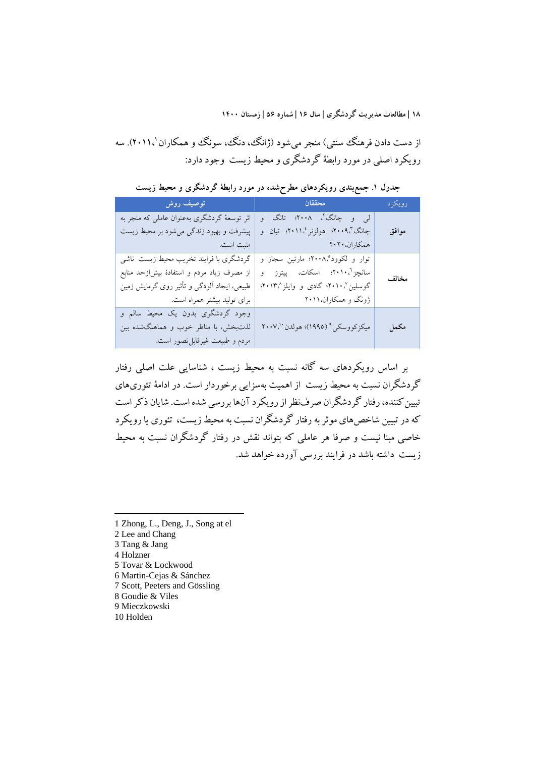از دست دادن فرهنگ سنتی) منجر میشود (ژانگ، دنگ، سونگ و همکاران '۲۰۱۱،). سه رویکرد اصلی در مورد رابطۀ گردشگري و محیط زیست وجود دارد:

**جدول .1 جمعبندي رویکردهاي مطرحشده در مورد رابطۀ گردشگري و محیط زیست**

| ا است المستقل المستقل المستقل المستقل المستقل المستقل المستقل المستقل المستقل المستقل المستقل المستقل المستقل                                                      | المستقبل المستقبل المستقبل المستقبل المستقبل المستقبل المستقبل المستقبل المستقبل المستقبل المستقبل المستقبل ال            | رويكرد |
|--------------------------------------------------------------------------------------------------------------------------------------------------------------------|---------------------------------------------------------------------------------------------------------------------------|--------|
| اثر توسعهٔ گردشگری بهعنوان عاملی که منجر به<br>پیشرفت و بهبود زندگی میشود بر محیط زیست<br>  مثبت است.                                                              | لي و چانگ'، ۲۰۰۸؛ تانگ و<br>چانگ"،۲۰۰۹؛ هولزنر ۲۰۱۱؛ تیان و                                                               | موافق  |
| گردشگری با فرایند تخریب محیط زیست ناشی<br>از مصرف زیاد مردم و استفادهٔ بیش زحد منابع<br>طبیعی، ایجاد آلودگی و تأثیر روی گرمایش زمین<br>برای تولید بیشتر همراه است. | توار و لکوود°،۲۰۰۸، مارتین سجاز و<br>سانچز ۲۰۱۰، اسکات، پیترز و<br>گوسلین ۲۰۱۰، گادی و وایلز ۲۰۱۳،<br>ژونگ و همکاران،۲۰۱۱ | مخالف  |
| وجود گردشگری بدون یک محیط سالم و<br>لذتبخش، با مناظر خوب و هماهنگشده بین<br>مردم و طبیعت غیرقابل تصور است.                                                         | ميكزكووسكي ٩ (١٩٩٥)؛ هولدن ٧٠٠٧٠                                                                                          | مكمل   |

بر اساس رویکردهاي سه گانه نسبت به محیط زیست ، شناسایی علت اصلی رفتار گردشگران نسبت به محیط زیست از اهمیت بهسزایی برخوردار است. در ادامۀ تئوريهاي تبیینکننده، رفتار گردشگران صرفنظراز رویکرد آنها بررسی شده است. شایان ذکر است که در تبیین شاخصهاي موثربه رفتار گردشگران نسبت به محیط زیست، تئوري یا رویکرد خاصی مبنا نیست و صرفا هر عاملی که بتواند نقش در رفتار گردشگران نسبت به محیط زیست داشته باشد در فرایند بررسی آورده خواهد شد.

- 1 Zhong, L., Deng, J., Song at el
- 2 Lee and Chang
- 3 Tang & Jang
- 4 Holzner

- 5 Tovar & Lockwood
- 6 Martin-Cejas & Sánchez
- 7 Scott, Peeters and Gössling 8 Goudie & Viles
- 9 Mieczkowski
- 10 Holden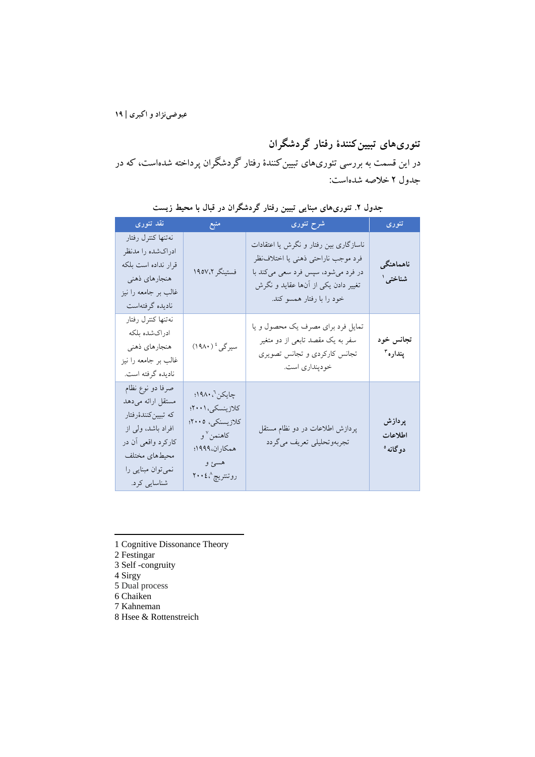**تئوريهاي تبیینکنندة رفتار گردشگران** در این قسمت به بررسی تئوريهاي تبیینکنندة رفتار گردشگران پرداخته شدهاست، که در جدول 2 خلاصه شدهاست:

| نقد تئورى                                                                                                                                                      | منبع                                                                                                                         | شرح تئورى                                                                                                                                                                               | تئورى                         |
|----------------------------------------------------------------------------------------------------------------------------------------------------------------|------------------------------------------------------------------------------------------------------------------------------|-----------------------------------------------------------------------------------------------------------------------------------------------------------------------------------------|-------------------------------|
| نهتنها كنترل رفتار<br>ادراكشده را مدنظر<br>قرار نداده است بلکه<br>هنجارهاي ذهني<br>غالب بر جامعه را نیز<br>ناديده گرفتهاست                                     | فستينگر ١٩٥٧،٢                                                                                                               | ناسازگاری بین رفتار و نگرش یا اعتقادات<br>فرد موجب ناراحتى ذهنى يا اختلاف نظر<br>در فرد میشود، سپس فرد سعی میکند با<br>تغییر دادن یکی از آنها عقاید و نگرش<br>خود را با رفتار همسو کند. | ناهماهنگى<br>شناختی ٰ         |
| نهتنها كنترل رفتار<br>ادراكشده بلكه<br>هنجارهاي ذهني<br>غالب بر جامعه را نیز<br>ناديده گرفته است.                                                              | سیرگی <sup>،</sup> (۱۹۸۰)                                                                                                    | تمایل فرد برای مصرف یک محصول و یا<br>سفر به یک مقصد تابعی از دو متغیر<br>تجانس كاركردي و تجانس تصويري<br>خودپنداري است.                                                                 | تجانس خود<br>پنداره ۳         |
| صرفا دو نوع نظام<br>مستقل ارائه مىدهد<br>كە تبيينكنندۀرفتار<br>افراد باشد، ولی از<br>کارکرد واقعی آن در<br>محيطهاى مختلف<br>نمی توان مبنایی را<br>شناسايي كرد. | چايكن `، ۱۹۸۰؛<br>كلازينسكي، ٢٠٠١؛<br>كلازيسنكي، ٢٠٠٥؛<br>کاهنمن <sup>۷</sup> و<br>همكاران،١٩٩٩؛<br>هسئ و<br>روتنتريچ^،٤ ۲۰۰ | پردازش اطلاعات در دو نظام مستقل<br>تجربەوتحليلى تعريف مىگردد                                                                                                                            | پردازش<br>اطلاعات<br>دوگانه ° |

**جدول .2 تئوريهاي مبنایی تبیین رفتار گردشگران در قبال با محیط زیست**

- 1 Cognitive Dissonance Theory
- 2 Festingar
- 3 Self -congruity
- 4 Sirgy

- 5 Dual process
- 6 Chaiken
- 7 Kahneman
- 8 Hsee & Rottenstreich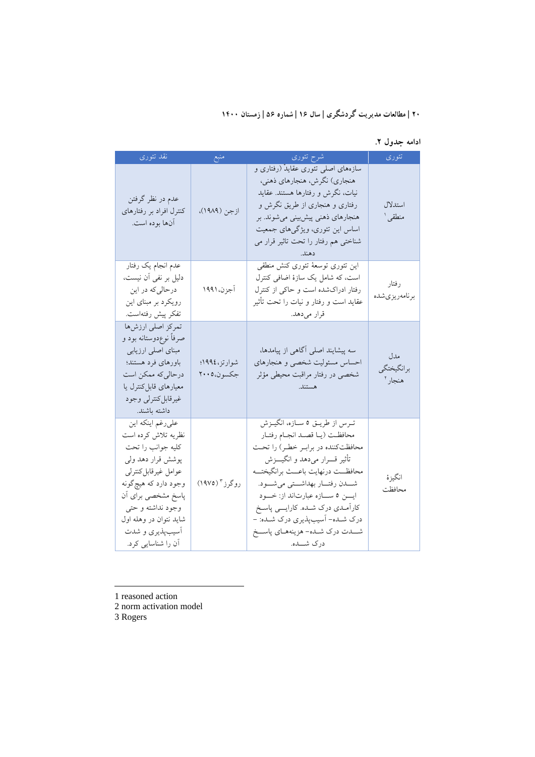**ادامه جدول .2**

| نقد تئوري                                                                                                                                                                                                                                       | منبع                       | شرح تئورى                                                                                                                                                                                                                                                                                                                                                                                     | تئورى                        |
|-------------------------------------------------------------------------------------------------------------------------------------------------------------------------------------------------------------------------------------------------|----------------------------|-----------------------------------------------------------------------------------------------------------------------------------------------------------------------------------------------------------------------------------------------------------------------------------------------------------------------------------------------------------------------------------------------|------------------------------|
| عدم در نظر گرفتن<br>کنترل افراد بر رفتارهای<br>آنها بوده است.                                                                                                                                                                                   | ازجن (١٩٨٩)،               | سازههای اصلی تئوری عقایدْ (رفتاری و<br>هنجاري) نگرش، هنجارهاي ذهني،<br>نیات، نگرش و رفتارها هستند. عقاید<br>رفتاری و هنجاری از طریق نگرش و<br>هنجارهای ذهنی پیشبینی میشوند. بر<br>اساس این تئوری، ویژگیهای جمعیت<br>شناختی هم رفتار را تحت تاثیر قرار می<br>دهند.                                                                                                                             | استدلال<br>منطقى ا           |
| عدم انجام یک رفتار<br>دلیل بر نفی آن نیست،<br>درحالیکه در این<br>رویکرد بر مبنای این<br>تفكر پيش رفتهاست.                                                                                                                                       | آجزن، ۱۹۹۱                 | این تئوری توسعهٔ تئوری کنش منطقی<br>است، که شامل یک سازهٔ اضافی کنترل<br>رفتار ادراکشده است و حاکی از کنترل<br>عقاید است و رفتار و نیات را تحت تأثیر<br>قرار مىدهد.                                                                                                                                                                                                                           | رفتار<br>برنامەريزىشدە       |
| تمركز اصلى ارزشها<br>صرفاً نوعٖدوستانه بود و<br>مبنای اصلی ارزیابی<br>باورهاى فرد هستند؛<br>درحالی که ممکن است<br>معیارهای قابل کنترل یا<br>غيرقابل كنترلى وجود<br>داشته باشند.                                                                 | شوارتز،١٩٩٤؛<br>جكسون،٢٠٠٥ | سه پیشایند اصلی آگاهی از پیامدها،<br>احساس مسئوليت شخصي و هنجارهاي<br>شخصی در رفتار مراقبت محیطی مؤثر<br>هستند.                                                                                                                                                                                                                                                                               | مدل<br>برانگيختگي<br>هنجار أ |
| علىرغم اينكه اين<br>نظریه تلاش کرده است<br>كليه جوانب را تحت<br>پوشش قرار دهد ولی<br>عوامل غيرقابل كنترلى<br>وجود دارد که هیچگونه<br>پاسخ مشخصی برای آن<br>وجود نداشته وحتى<br>شاید نتوان در وهله اول<br>أسيب پذيري و شدت<br>أن را شناسایی کرد. | روگرز " (۱۹۷۵)             | ترس از طريق ٥ سازه، انگيزش<br>محافظت (يـا قصـد انجـام رفتـار<br>محافظت کننده در برابـر خطـر) را تحـت<br>تأثير قــــرار مىدهد و انگيــــزش<br>محافظــت درنهايت باعــث برانگيختــه<br>شــــدن رفتـــار بهداشـــتى مىشـــود.<br>ايسن ٥ سازه عبارتاند از: خود<br>کارآمـدي درک شـده. کارايـــي پاسـخ<br>درک شــده- اَسیبپذیری درک شــده: -<br>شـــدت درك شــده- هزينههــاي پاســـخ<br>درک شــــده. | انگيز ۂ<br>محافظت            |

1 reasoned action

2 norm activation model

3 Rogers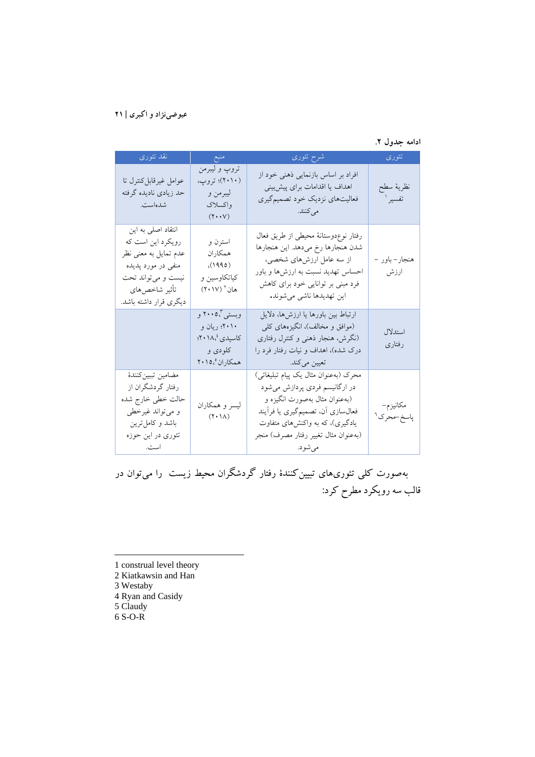#### **ادامه جدول .2**

| نقد تئوري                                                                                                                                                | منبع                                                                                                                  | شرح تئورى                                                                                                                                                                                                                         | تئوري                              |
|----------------------------------------------------------------------------------------------------------------------------------------------------------|-----------------------------------------------------------------------------------------------------------------------|-----------------------------------------------------------------------------------------------------------------------------------------------------------------------------------------------------------------------------------|------------------------------------|
| عوامل غيرقابل كنترل تا<br>حد زيادي ناديده گرفته<br>شدهاست.                                                                                               | تروپ و ليبرمن<br>(۲۰۱۰)؛ تروپ،<br>ليبرمن و<br>واكسلاك<br>$(\mathbf{Y}\boldsymbol{\cdot}\boldsymbol{\cdot}\mathbf{Y})$ | افراد بر اساس بازنمایی ذهنی خود از<br>اهداف یا اقدامات برای پیشبینی<br>فعالیتهای نزدیک خود تصمیمگیری<br>مىكنند.                                                                                                                   | نظريه سطح<br>تفسير ا               |
| انتقاد اصلی به این<br>رویکرد این است که<br>عدم تمایل به معنی نظر<br>منفي در مورد پديده<br>نیست و میتواند تحت<br>تأثير شاخص هاي<br>دیگری قرار داشته باشد. | استرن و<br>همكاران<br>(1990)<br>کیاتکاوسین و<br>هان آ (۲۰۱۷)                                                          | رفتار نوع،وستانهٔ محیطی از طریق فعال<br>شدن هنجارها رخ ميدهد. اين هنجارها<br>از سه عامل ارزشهای شخصی،<br>احساس تهدید نسبت به ارزشها و باور<br>فرد مبنی بر توانایی خود برای کاهش<br>اين تهديدها ناشي مي شوند.                      | هنجار– باور –<br>ارزش              |
|                                                                                                                                                          | وبستی"۰۰،۰۵ و<br>۲۰۱۰؛ ریان و<br>کاسیدی ۱۸، <sup>٤</sup> ۰:<br>کلودی و<br>همكاران 201.1                               | ارتباط بین باورها یا ارزشها، دلایل<br>(موافق و مخالف)، انگیزههای کلی<br>(نگرش، هنجار ذهنی و کنترل رفتاری<br>درک شده)، اهداف و نیات رفتار فرد را<br>تعیین میکند.                                                                   | استدلال<br>رفتاري                  |
| مضامين تببين كنندة<br>رفتار گردشگران از<br>حالت خطی خارج شده<br>و میتواند غیرخطی<br>باشد و کامل ترین<br>تئوری در این حوزه<br>است.                        | ليسر و همکاران<br>$(\uparrow\cdot\uparrow\uparrow)$                                                                   | محرک (بهعنوان مثال یک پیام تبلیغاتی)<br>در ارگانیسم فردی پردازش میشود<br>(بهعنوان مثال بهصورت انگیزه و<br>فعالسازی أن، تصمیمگیری یا فرأیند<br>یادگیری)، که به واکنشهای متفاوت<br>(به عنوان مثال تغییر رفتار مصرف) منجر<br>مي شود. | مكانيزم-<br>پاسخ-محرک <sup>۹</sup> |

بهصورت کلی تئوريهاي تبیینکنندة رفتار گردشگران محیط زیست را میتوان در قالب سه رویکرد مطرح کرد:

- 1 construal level theory
- 2 Kiatkawsin and Han
- 3 Westaby

- 4 Ryan and Casidy
- 5 Claudy 6 S-O-R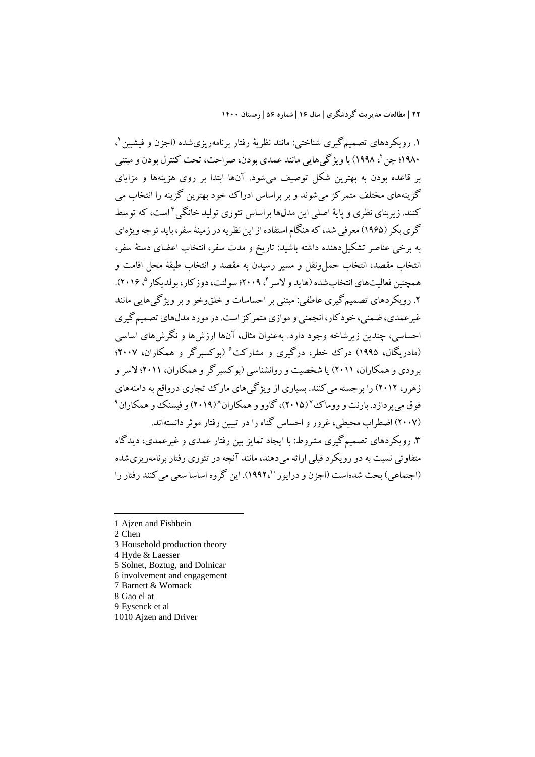، 1 .1 رویکردهاي تصمیمگیري شناختی: مانند نظریۀ رفتار برنامهریزيشده (اجزن و فیشبین ، 1998) با ویژگیهایی مانند عمدي بودن، صراحت، تحت کنترل بودن و مبتنی 2 1980؛ چن بر قاعده بودن به بهترین شکل توصیف میشود. آنها ابتدا بر روي هزینهها و مزایاي گزینههاي مختلف متمرکز میشوند و بر براساس ادراك خود بهترین گزینه را انتخاب می کنند. زیربناي نظري و پایۀ اصلي این مدل۱ها براساس تئوري تولید خانگی "است، که توسط گريبکر (1965) معرفی شد، که هنگام استفاده از این نظریهدرزمینۀ سفر، باید توجه ویژهاي به برخی عناصر تشکیلدهنده داشته باشید: تاریخ و مدت سفر، انتخاب اعضاي دستۀ سفر، انتخاب مقصد، انتخاب حملونقل و مسیر رسیدن به مقصد و انتخاب طبقۀ محل اقامت و همچنین فعالیتهای انتخاب شده (هاید و لاسر ۴ ، ۲۰۰۹؛ سولنت، دوز کار، بولدیکار ۴۰۱۶). .2 رویکردهاي تصمیمگیري عاطفی: مبتنی بر احساسات و خلقوخو و بر ویژگیهایی مانند غیرعمدي، ضمني، خودکار، انجمني و موازي متمرکز است. در مورد مدلهاي تصمیم گیري احساسی، چندین زیرشاخه وجود دارد. بهعنوان مثال، آنها ارزشها و نگرشهاي اساسی (مادریگال، ۱۹۹۵) درک خطر، درگیری و مشارکت ٔ (بوکسبرگر و همکاران، ۲۰۰۷؛ برودي و همکاران، 2011) یا شخصیت و روانشناسی (بوکسبرگر و همکاران، 2011؛ لاسر و زهرر، 2012) را برجسته میکنند. بسیاري از ویژگیهاي مارك تجاري درواقع به دامنههاي فوق میپردازد. بارنت و ووماك<sup>۷</sup> (۲۰۱۵)، گاوو و همکاران^(۲۰۱۹) و فیسنک و همکاران <sup>۹</sup> (2007) اضطراب محیطی، غرور و احساس گناه را در تبیین رفتار موثر دانستهاند. .3 رویکردهاي تصمیمگیري مشروط: با ایجاد تمایز بین رفتار عمدي و غیرعمدي، دیدگاه متفاوتی نسبت به دو رویکردقبلی ارائه میدهند، مانند آنچه در تئوري رفتار برنامهریزيشده (اجتماعی) بحث شدهاست (اجزن و درایور ۱۹۹۲٬۱). این گروه اساسا سعی می کنند رفتار را

2 Chen

- 3 Household production theory
- 4 Hyde & Laesser
- 5 Solnet, Boztug, and Dolnicar
- 6 involvement and engagement
- 7 Barnett & Womack
- 8 Gao el at
- 9 Eysenck et al
- 1010 Ajzen and Driver

<sup>1</sup> Ajzen and Fishbein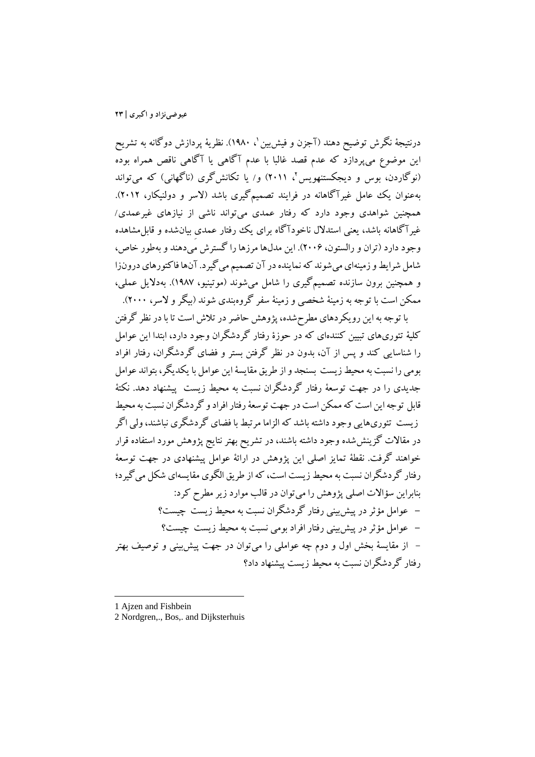درنتیجۀ نگرش توضیح دهند (آجزن و فیش بین '، ۱۹۸۰). نظریۀ پردازش دوگانه به تشریح این موضوع میپردازد که عدم قصد غالبا با عدم آگاهی یا آگاهی ناقص همراه بوده (نوگاردن، بوس و دیجکستنهویس'، ۲۰۱۱) و/ یا تکانش گری (ناگهانی) که می تواند بهعنوان یک عامل غیرآگاهانه در فرایند تصمیمگیری باشد (لاسر و دولنیکار، ۲۰۱۲). همچنین شواهدي وجود دارد که رفتار عمدي میتواند ناشی از نیازهاي غیرعمدي/ غیرآگاهانه باشد، یعنی استدلال ناخودآگاه براي یک رفتار عمديِ بیانشده و قابلمشاهده وجود دارد (تران و رالستون، 2006). این مدلها مرزها را گسترش میدهند و بهطور خاص، شامل شرایط و زمینهای می شوند که نماینده در آن تصمیم می گیرد. آنها فاکتورهای درونزا و همچنین برون سازنده تصمیمگیري را شامل میشوند (موتینیو، 1987). بهدلایل عملی، ممکن است با توجه به زمینۀ شخصی و زمینۀ سفر گروهبندي شوند (بیگرو لاسر، 2000).

با توجه به این رویکردهاي مطرحشده، پژوهش حاضر در تلاش است تا با در نظر گرفتن کلیۀ تئوريهاي تبیین کنندهاي که در حوزة رفتار گردشگران وجود دارد، ابتدا این عوامل را شناسایی کند و پس از آن، بدون در نظر گرفتن بستر و فضاي گردشگران، رفتار افراد بومی را نسبت به محیطزیست بسنجد و از طریق مقایسۀ این عوامل با یکدیگر، بتواند عوامل جدیدي را در جهت توسعۀ رفتار گردشگران نسبت به محیط زیست پیشنهاد دهد. نکتۀ قابل توجه این است که ممکن است در جهت توسعۀ رفتار افراد و گردشگران نسبت به محیط زیست تئوريهایی وجود داشته باشد که الزاما مرتبط با فضاي گردشگري نباشند، ولی اگر در مقالات گزینششده وجود داشته باشند، در تشریح بهتر نتایج پژوهش مورد استفاده قرار خواهند گرفت. نقطۀ تمایز اصلی این پژوهش در ارائۀ عوامل پیشنهادي در جهت توسعۀ رفتار گردشگران نسبت به محیط زیست است، که از طریق الگوي مقایسهاي شکل میگیرد؛ بنابراین سؤالات اصلی پژوهش را میتوان در قالب موارد زیر مطرح کرد: **-** عوامل مؤثر در پیشبینی رفتار گردشگران نسبت به محیط زیست چیست؟ **-** عوامل مؤثر در پیشبینی رفتار افراد بومی نسبت به محیط زیست چیست؟ - از مقایسۀ بخش اول و دوم چه عواملی را میتوان در جهت پیشبینی و توصیف بهتر رفتار گردشگران نسبت به محیط زیست پیشنهاد داد؟

<sup>1</sup> Ajzen and Fishbein

<sup>2</sup> Nordgren,., Bos,. and Dijksterhuis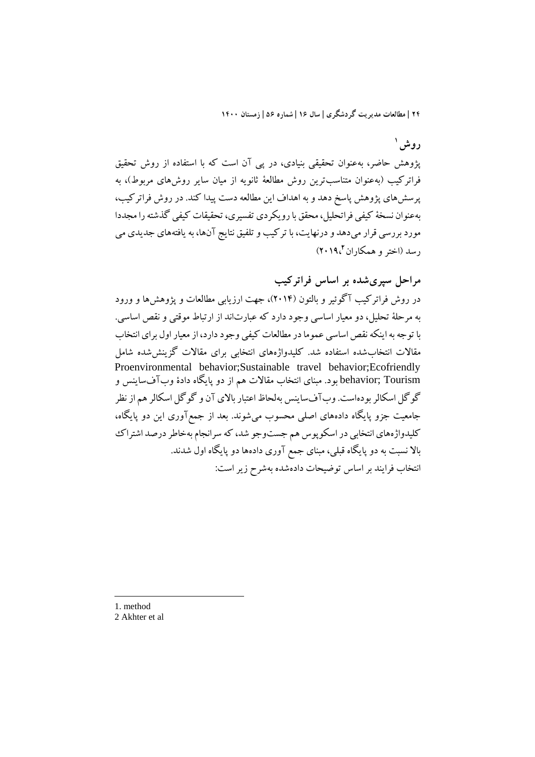**1 روش**

پژوهش حاضر، بهعنوان تحقیقی بنیادي، در پی آن است که با استفاده از روش تحقیق فراترکیب (بهعنوان متناسبترین روش مطالعۀ ثانویه از میان سایر روشهاي مربوط)، به پرسشهاي پژوهش پاسخ دهد و به اهداف این مطالعه دست پیدا کند. در روش فراترکیب، بهعنوان نسخۀ کیفی فراتحلیل، محقق با رویکردي تفسیري، تحقیقات کیفی گذشته را مجددا مورد بررسی قرار میدهد ودرنهایت، با ترکیب و تلفیق نتایج آنها، به یافتههاي جدیدي می 2019،) **<sup>2</sup>** رسد (اختر و همکاران

**مراحل سپريشده بر اساس فراترکیب**

در روش فراترکیب آگوئیر و بالتون (2014)، جهت ارزیابی مطالعات و پژوهشها و ورود به مرحلۀ تحلیل، دو معیار اساسی وجود دارد که عبارتاند از ارتباط موقتی و نقص اساسی. با توجهبه اینکه نقص اساسی عمومادر مطالعات کیفی وجود دارد، از معیار اول براي انتخاب مقالات انتخابشده استفاده شد. کلیدواژههاي انتخابی براي مقالات گزینششده شامل Proenvironmental behavior;Sustainable travel behavior;Ecofriendly Tourism; behavior بود. مبناي انتخاب مقالات هم از دو پایگاه دادة وبآفساینس و گوگل اسکالر بودهاست. وبآفساینس بهلحاظ اعتبار بالاي آن و گوگل اسکالر هم از نظر جامعیت جزو پایگاه دادههاي اصلی محسوب میشوند. بعد از جمعآوري این دو پایگاه، کلیدواژههاي انتخابی در اسکوپوس هم جستوجو شد، که سرانجام بهخاطر درصد اشتراك بالا نسبت به دو پایگاه قبلی، مبناي جمع آوري دادهها دو پایگاه اول شدند. انتخاب فرایند بر اساس توضیحات دادهشده بهشرح زیر است:

1. method 2 Akhter et al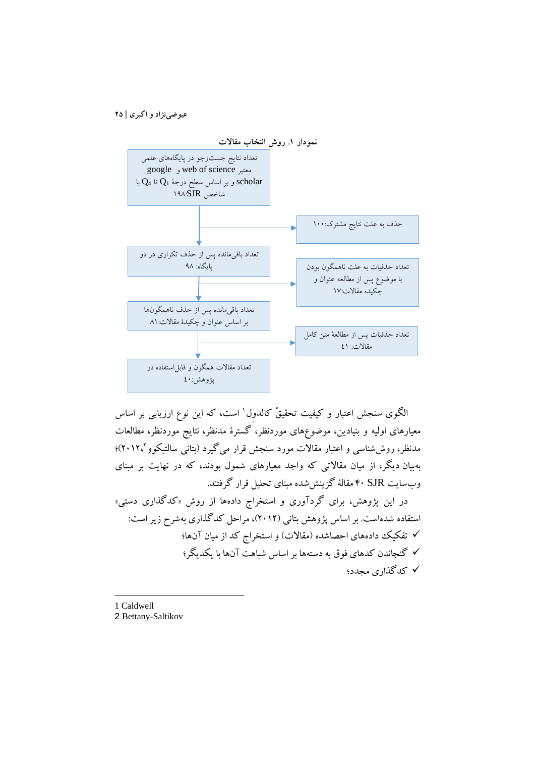

الگوی سنجش اعتبار و کیفیت تحقیقْ کالدول` است، که این نوع ارزیابی بر اساس معیارهاي اولیه و بنیادین، موضوعهاي موردنظر، گسترة مدنظر، نتایج موردنظر، مطالعات 2012،)؛ 2 مدنظر، روششناسی و اعتبار مقالات مورد سنجش قرار میگیرد (بتانی سالتیکوو بهبیان دیگر، از میان مقالاتی که واجد معیارهاي شمول بودند، که در نهایت بر مبناي وبسایت SJR 40 مقالۀ گزینششده مبناي تحلیل قرار گرفتند.

در این پژوهش، براي گردآوري و استخراج دادهها از روش «کدگذاري دستی» استفاده شدهاست. بر اساس پژوهش بتانی (2012)، مراحل کدگذاري بهشرح زیر است: تفکیک دادههاي احصاشده (مقالات) و استخراج کد از میان آنها؛ گنجاندن کدهاي فوق به دستهها بر اساس شباهت آنها با یکدیگر؛ کدگذاري مجدد؛

1 Caldwell 2 Bettany-Saltikov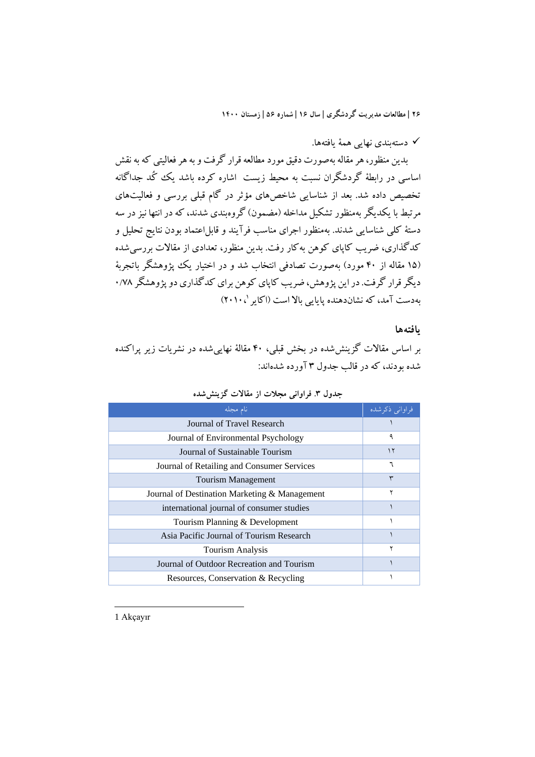دستهبندي نهایی همۀ یافتهها.

بدین منظور، هر مقاله بهصورت دقیق مورد مطالعهقرار گرفت و به هر فعالیتی که به نقش اساسی در رابطۀ گردشگران نسبت به محیط زیست اشاره کرده باشد یک کُد جداگانه تخصیص داده شد. بعد از شناسایی شاخصهاي مؤثر در گام قبلی بررسی و فعالیتهاي مرتبط با یکدیگر بهمنظور تشکیل مداخله (مضمون) گروهبندي شدند، که در انتها نیز در سه دستۀ کلی شناسایی شدند. بهمنظور اجراي مناسب فرآیند و قابلاعتماد بودن نتایج تحلیل و کدگذاري، ضریب کاپاي کوهن بهکار رفت. بدین منظور، تعدادي از مقالات بررسیشده (15 مقاله از 40 مورد) بهصورت تصادفی انتخاب شد و در اختیار یک پژوهشگر باتجربۀ دیگر قرار گرفت. در این پژوهش، ضریب کاپاي کوهن براي کدگذاري دو پژوهشگر 0/78 2010،) <sup>1</sup> بهدست آمد، که نشاندهنده پایایی بالا است (اکایر

## **یافتهها**

بر اساس مقالات گزینششده در بخش قبلی، 40 مقالۀ نهاییشده در نشریات زیر پراکنده شده بودند، که در قالب جدول 3 آورده شدهاند:

| نام مجله                                      | فراواني ذكرشده |
|-----------------------------------------------|----------------|
| Journal of Travel Research                    |                |
| Journal of Environmental Psychology           | ٩              |
| Journal of Sustainable Tourism                | ۱۲             |
| Journal of Retailing and Consumer Services    |                |
| <b>Tourism Management</b>                     | ٣              |
| Journal of Destination Marketing & Management | ۲              |
| international journal of consumer studies     |                |
| Tourism Planning & Development                |                |
| Asia Pacific Journal of Tourism Research      |                |
| Tourism Analysis                              |                |
| Journal of Outdoor Recreation and Tourism     |                |
| Resources, Conservation & Recycling           |                |

**جدول .3 فراوانی مجلات از مقالات گزینششده**

1 Akçayır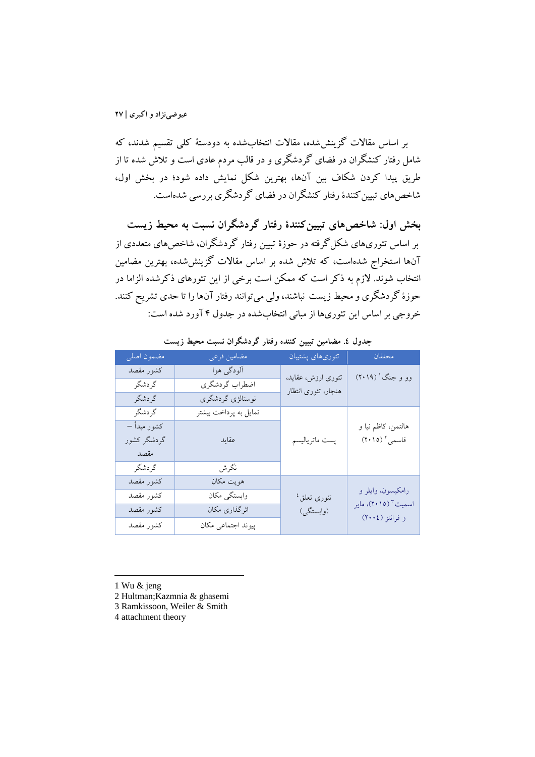بر اساس مقالات گزینششده، مقالات انتخابشده به دودستۀ کلی تقسیم شدند، که شامل رفتار کنشگران در فضاي گردشگري و در قالب مردم عادي است و تلاش شده تا از طریق پیدا کردن شکاف بین آنها، بهترین شکل نمایش داده شود؛ در بخش اول، شاخصهاي تبیینکنندة رفتار کنشگران در فضاي گردشگري بررسی شدهاست.

**بخش اول: شاخصهاي تبیینکنندة رفتار گردشگران نسبت به محیط زیست** بر اساس تئوريهاي شکلگرفته در حوزة تبیین رفتار گردشگران، شاخصهاي متعددي از آنها استخراج شدهاست، که تلاش شده بر اساس مقالات گزینششده، بهترین مضامین انتخاب شوند. لازم به ذکر است که ممکن است برخی از این تئورهاي ذکرشده الزاما در حوزة گردشگري و محیط زیست نباشند، ولی میتوانند رفتار آنها را تا حدي تشریح کنند. خروجی بر اساس این تئوريها از مبانی انتخابشده در جدول 4 آورد شده است:

| مضمون اصلى  | مضامين فرعى           | تئورىهاى پشتيبان                     | محققان                                             |
|-------------|-----------------------|--------------------------------------|----------------------------------------------------|
| كشور مقصد   | آلودگی هوا            | تئوری ارزش، عقاید،                   | وو و جنگ ' (۲۰۱۹)                                  |
| گردشگر      | اضطراب گردشگري        | هنجار، تئوري انتظار                  |                                                    |
| گردشگر      | نوستالژي گردشگري      |                                      |                                                    |
| گردشگر      | تمایل به پرداخت بیشتر |                                      |                                                    |
| كشور مبدأ – |                       |                                      | هالتمن، كاظم نيا و                                 |
| گردشگر کشور | عقايد                 | پست ماترياليسم                       | قاسمى ٢ (٢٠١٥)                                     |
| مقصد        |                       |                                      |                                                    |
| گردشگر      | نگرش                  |                                      |                                                    |
| كشور مقصد   | هويت مكان             |                                      |                                                    |
| كشور مقصد   | وابستگی مکان          | تئورى تعلق <sup>،</sup><br>(وابستگی) | رامكيسون، وايلر و                                  |
| كشور مقصد   | اثرگذاری مکان         |                                      | اسمیت <sup>۳</sup> (۲۰۱۵)، مایر<br>و فرانتز (٢٠٠٤) |
| كشور مقصد   | پیوند اجتماعی مکان    |                                      |                                                    |

**جدول .4 مضامین تببین کننده رفتار گردشگران نسبت محیط زیست**

1 Wu & jeng

- 2 Hultman;Kazmnia & ghasemi
- 3 Ramkissoon, Weiler & Smith
- 4 attachment theory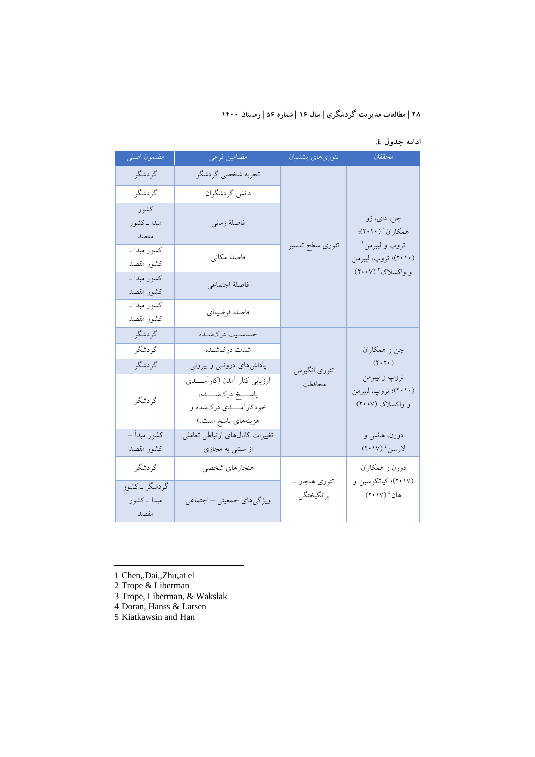**ادامه جدول .4** 

| مضمون اصلى                           | مضامين فرعى                                                                                               | تئورىهاى پشتيبان            | محققان                                                    |
|--------------------------------------|-----------------------------------------------------------------------------------------------------------|-----------------------------|-----------------------------------------------------------|
| گردشگر                               | تجربه شخصي گردشگر                                                                                         |                             |                                                           |
| گردشگر                               | دانش گردشگران                                                                                             |                             |                                                           |
| كشور<br>مبدا ــ کشور<br>مقصد         | فاصلهٔ زمانی                                                                                              |                             | چن، دای، ژو<br>همكاران ` (٢٠٢٠)؛                          |
| کشور مبدا ــ<br>كشور مقصد            | فاصلهٔ مکانی                                                                                              | تئورى سطح تفسير             | تروپ و ليبرمن آ<br>(۲۰۱۰)؛ تروپ، ليبرمن                   |
| کشور مبدا ــ<br>كشور مقصد            | فاصلهٔ اجتماعي                                                                                            |                             | و واکسلاک " (۲۰۰۷)                                        |
| کشور مبدا ــ<br>كشور مقصد            | فاصله فرضيهاي                                                                                             |                             |                                                           |
| گردشگر                               | حساسيت دركشده                                                                                             |                             |                                                           |
| گردشگر                               | شدت دركشـده                                                                                               |                             | چن و همکاران                                              |
| گر دشگر                              | پاداشهای درونــی و بیرونی                                                                                 | تئوري انگيزش                | $(Y \cdot Y \cdot)$                                       |
| گردشگر                               | ارزيابي كنار أمدن (كارأمــــدى<br>پاســــخ دركشـــــده،<br>خودکارآمــــدي درکشده و<br>هزينههاي پاسخ است.) | محافظت                      | تروپ و ليبرمن<br>(۲۰۱۰)؛ تروپ، ليبرمن<br>و واکسلاک (۲۰۰۷) |
| كشور مبدأ –                          | تغییرات کانالهای ارتباطی تعاملی                                                                           |                             | دورن، هانس و                                              |
| كشور مقصد                            | از سنتی به مجازی                                                                                          |                             | لارسن ٔ (۲۰۱۷)                                            |
| گردشگر                               | هنجارهاي شخصي                                                                                             |                             | دورن و همکاران                                            |
| گردشگر ۔کشور<br>مبدا ــ کشور<br>مقصد | ویژگیهای جمعیتی –اجتماعی                                                                                  | تئوری هنجار _<br>برانگيختگي | (۲۰۱۷)؛ کیاتکوسین و<br>هان° (۲۰۱۷)                        |

1 Chen,,Dai,,Zhu,at el

2 Trope & Liberman

 $\overline{\phantom{a}}$ 

3 Trope, Liberman, & Wakslak

4 Doran, Hanss & Larsen

5 Kiatkawsin and Han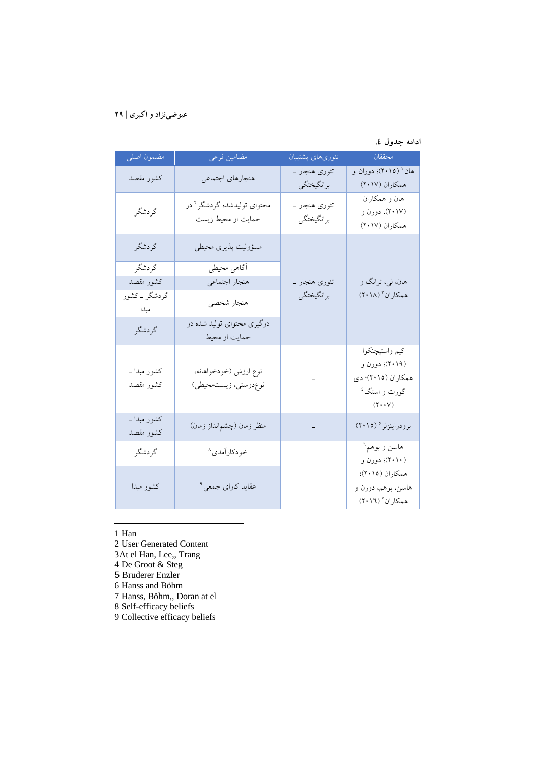## **ادامه جدول .4**

| مضمون اصلى                | مضامین فرعی                                                  | تئورىهاى پشتيبان            | محققان                                                                                              |
|---------------------------|--------------------------------------------------------------|-----------------------------|-----------------------------------------------------------------------------------------------------|
| كشور مقصد                 | هنجارهاي اجتماعي                                             | تئوری هنجار ۔<br>برانگيختگي | هان ' (٢٠١٥)؛ دوران و<br>همكاران (٢٠١٧)                                                             |
| گردشگر                    | محتوای تولیدشده گردشگر <sup>۲</sup> در<br>حمایت از محیط زیست | تئوری هنجار ۔<br>برانگيختگي | هان و همکاران<br>(۲۰۱۷)، دورن و<br>همكاران (٢٠١٧)                                                   |
| گردشگر                    | مسؤوليت پذيري محيطي                                          |                             |                                                                                                     |
| گردشگر                    | ۔<br>آگاهي محيطي                                             |                             |                                                                                                     |
| كشور مقصد                 | هنجار اجتماعي                                                | تئوری هنجار _               | هان، لي، ترانگ و                                                                                    |
| گردشگر ۔کشور<br>مبدا      | هنجار شخصي                                                   | برانگيختگي                  | همکاران ۳ (۲۰۱۸)                                                                                    |
| گردشگر                    | درگیری محتوای تولید شده در<br>حمایت از محیط                  |                             |                                                                                                     |
| کشور مبدا ــ<br>كشور مقصد | نوع ارزش (خودخواهانه،<br>نوعدوستي، زيستمحيطي)                |                             | كيم واستپچنكوا<br>(۲۰۱۹)؛ دورن و<br>همکاران (۲۰۱۵)؛ دي<br>گورت و استگ <sup>٤</sup><br>$(Y \cdot Y)$ |
| کشور مبدا ــ<br>كشور مقصد | منظر زمان (چشم نداز زمان)                                    |                             | برودراينزلر ° (٢٠١٥)                                                                                |
| گردشگر                    | خودكاراًمدي^                                                 |                             | هاسن و بوهم <sup>٦</sup><br>(۲۰۱۰)؛ دورن و                                                          |
| كشور مبدا                 | عقاید کارای جمعی <sup>۹</sup>                                |                             | همكاران (٢٠١٥)؛<br>هاسن، بوهم، دورن و<br>همكاران ٧ (٢٠١٦)                                           |

1 Han

l

- 2 User Generated Content
- 3At el Han, Lee,, Trang
- 4 De Groot & Steg
- 5 Bruderer Enzler
- 6 Hanss and Böhm
- 7 Hanss, Böhm,, Doran at el
- 8 Self-efficacy beliefs
- 9 Collective efficacy beliefs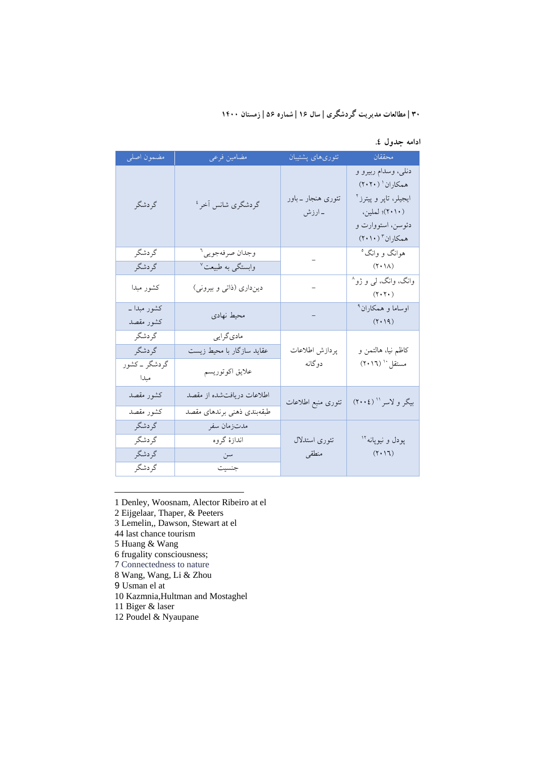**ادامه جدول .4** 

| <mark>مضمون اصل<sub>ی</sub></mark> | مضامين فرعى                   | تئورىهاى پشتيبان              | ا محققان ال                                                                                                                                                                                                                                                                                                                                                                                                                                                                                                                                                                                                 |
|------------------------------------|-------------------------------|-------------------------------|-------------------------------------------------------------------------------------------------------------------------------------------------------------------------------------------------------------------------------------------------------------------------------------------------------------------------------------------------------------------------------------------------------------------------------------------------------------------------------------------------------------------------------------------------------------------------------------------------------------|
| گردشگر                             | گردشگری شانس آخر <sup>؛</sup> | تئوری هنجار ــ باور<br>ـ ارزش | دنلي، وسدام ربيرو و<br>همکاران ۱ (۲۰۲۰)<br>ايجيلر، تاپر و پيترز <sup>۲</sup><br>(۲۰۱۰)؛ لملين،<br>دئوسن، استووارت و<br>$( \mathbf{Y} \cdot \mathbf{Y} \cdot \mathbf{Y} \cdot \mathbf{Y} \cdot \mathbf{Y} \cdot \mathbf{Y} \cdot \mathbf{Y} \cdot \mathbf{Y} \cdot \mathbf{Y} \cdot \mathbf{Y} \cdot \mathbf{Y} \cdot \mathbf{Y} \cdot \mathbf{Y} \cdot \mathbf{Y} \cdot \mathbf{Y} \cdot \mathbf{Y} \cdot \mathbf{Y} \cdot \mathbf{Y} \cdot \mathbf{Y} \cdot \mathbf{Y} \cdot \mathbf{Y} \cdot \mathbf{Y} \cdot \mathbf{Y} \cdot \mathbf{Y} \cdot \mathbf{Y} \cdot \mathbf{Y} \cdot \mathbf{Y} \cdot \math$ |
| گردشگر                             | وجدان صرفهجويي <sup>٦</sup>   |                               | هوانگ و وانگ°                                                                                                                                                                                                                                                                                                                                                                                                                                                                                                                                                                                               |
| گردشگر                             | وابستگی به طبیعت <sup>۷</sup> |                               | $(Y \cdot \Lambda)$                                                                                                                                                                                                                                                                                                                                                                                                                                                                                                                                                                                         |
| كشور مبدا                          | دینداری (ذاتی و بیرونی)       | $\equiv$                      | وانگ، وانگ، لي و ژو^<br>$(Y \cdot Y \cdot)$                                                                                                                                                                                                                                                                                                                                                                                                                                                                                                                                                                 |
| کشور مبدا ـ<br>كشور مقصد           | محيط نهادي                    | $\frac{1}{2}$                 | اوساما و همکاران <sup>۹</sup><br>$(\uparrow\cdot\uparrow\uparrow)$                                                                                                                                                                                                                                                                                                                                                                                                                                                                                                                                          |
| گردشگر                             | مادي گرايي                    |                               |                                                                                                                                                                                                                                                                                                                                                                                                                                                                                                                                                                                                             |
| گردشگر                             | عقاید سازگار با محیط زیست     | پردازش اطلاعات                | كاظم نيا، هالتمن و                                                                                                                                                                                                                                                                                                                                                                                                                                                                                                                                                                                          |
| گردشگر ۔کشور<br>مبدا               | علايق اكوتوريسم               | دوگانه                        | مستقل `` (٢٠١٦)                                                                                                                                                                                                                                                                                                                                                                                                                                                                                                                                                                                             |
| كشور مقصد                          | اطلاعات دریافتشده از مقصد     | تئورى منبع اطلاعات            | بیگر و لاسر '' (٢٠٠٤)                                                                                                                                                                                                                                                                                                                                                                                                                                                                                                                                                                                       |
| كشور مقصد                          | طبقهبندي ذهني برندهاي مقصد    |                               |                                                                                                                                                                                                                                                                                                                                                                                                                                                                                                                                                                                                             |
| گردشگر                             | مدتزمان سفر                   |                               |                                                                                                                                                                                                                                                                                                                                                                                                                                                                                                                                                                                                             |
| گردشگر                             | اندازهٔ گروه                  | تئوري استدلال                 | پودل و نيوپانه <sup>۱۲</sup>                                                                                                                                                                                                                                                                                                                                                                                                                                                                                                                                                                                |
| گردشگر                             | سن                            | منطقى                         | $(Y \cdot Y)$                                                                                                                                                                                                                                                                                                                                                                                                                                                                                                                                                                                               |
| گردشگر                             | جنسيت                         |                               |                                                                                                                                                                                                                                                                                                                                                                                                                                                                                                                                                                                                             |

1 Denley, Woosnam, Alector Ribeiro at el

2 Eijgelaar, Thaper, & Peeters

- 3 Lemelin,, Dawson, Stewart at el
- 44 last chance tourism
- 5 Huang & Wang

l

- 6 frugality consciousness;
- 7 Connectedness to nature
- 8 Wang, Wang, Li & Zhou
- 9 Usman el at
- 10 Kazmnia,Hultman and Mostaghel
- 11 Biger & laser
- 12 Poudel & Nyaupane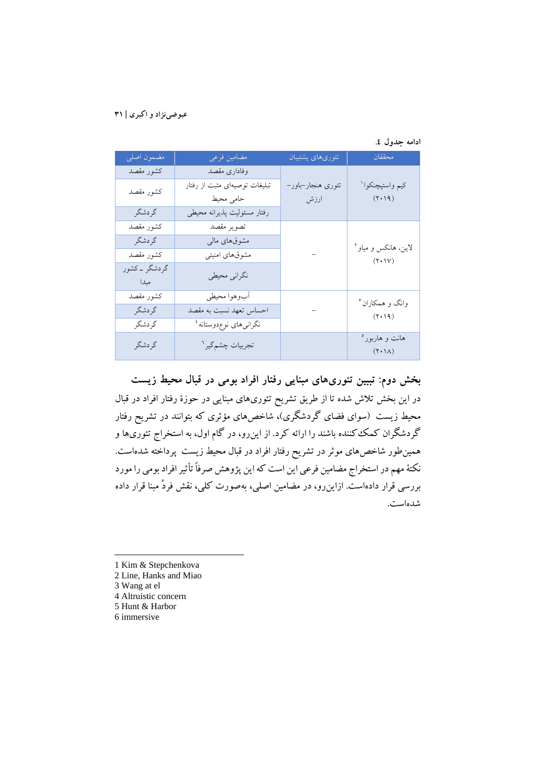|  |  | ادامه جدول ٤. |
|--|--|---------------|
|--|--|---------------|

| مضمون اصلى            | مضامين فرعى                       | تئورىهاى پشتيبان  | محققان                                                                       |
|-----------------------|-----------------------------------|-------------------|------------------------------------------------------------------------------|
| كشور مقصد             | وفادارى مقصد                      |                   |                                                                              |
| كشور مقصد             | تبلیغات توصیهای مثبت از رفتار     | تئوري هنجار-باور- | كيم واستپچنكوا ا                                                             |
|                       | حامى محيط                         | ارزش              | $(\uparrow\cdot\uparrow\uparrow)$                                            |
| گردشگر                | رفتار مسئوليت پذيرانه محيطى       |                   |                                                                              |
| كشور مقصد             | تصوير مقصد                        |                   |                                                                              |
| گردشگر                | مشوقهای مالی                      |                   | لاین، هانکس و میاو آ<br>$(\mathbf{Y}\boldsymbol{\cdot}\mathbf{1}\mathbf{V})$ |
| كشور مقصد             | مشوقهای امنیتی                    |                   |                                                                              |
| گردشگر _ کشور<br>مبدا | نگراني محيطي                      |                   |                                                                              |
| كشور مقصد             | أبوهوا محيطي                      |                   | وانگ و همکاران <sup>۳</sup>                                                  |
| گردشگر                | احساس تعهد نسبت به مقصد           |                   | $(\uparrow\cdot\uparrow\uparrow)$                                            |
| گردشگر                | نگرانیهای نوعدوستانه <sup>؛</sup> |                   |                                                                              |
| گر دشگر               | تجربيات چشم گير <sup>٦</sup>      |                   | هانت و هاربور°<br>$(\uparrow \cdot \uparrow \wedge)$                         |

**بخش دوم: تببین تئوريهاي مبنایی رفتار افراد بومی در قبال محیط زیست** در این بخش تلاش شده تا از طریق تشریح تئوريهاي مبنایی در حوزة رفتار افراد در قبال محیط زیست (سواي فضاي گردشگري)، شاخصهاي مؤثري که بتوانند در تشریح رفتار گردشگران کمککننده باشند را ارائه کرد. از اینرو، در گام اول، به استخراج تئوريها و همینطور شاخصهاي موثر در تشریح رفتار افراد در قبال محیط زیست پرداخته شدهاست. نکتۀ مهم در استخراج مضامین فرعی این است که این پژوهش صرفاً تأثیر افراد بومی را مورد بررسی قرار دادهاست. ازاینرو، در مضامین اصلی، بهصورت کلی، نقش فردْ مبنا قرار داده شدهاست.

- 1 Kim & Stepchenkova
- 2 Line, Hanks and Miao
- 3 Wang at el

- 4 Altruistic concern
- 5 Hunt & Harbor
- 6 immersive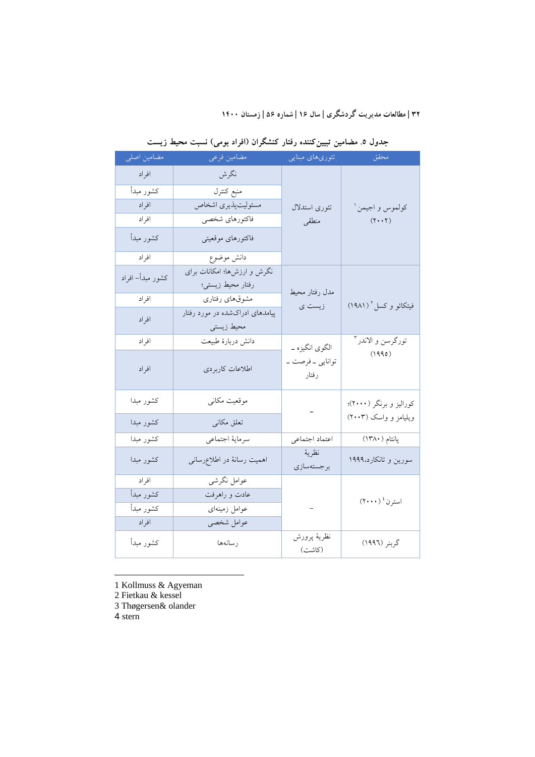| مضامین اصلی      | مضامين فرعى                                      | تئوریهای مبنایی             | محقق                                                                                        |
|------------------|--------------------------------------------------|-----------------------------|---------------------------------------------------------------------------------------------|
| افراد            | نگرش                                             |                             |                                                                                             |
| كشور مبدأ        | منبع كنترل                                       |                             |                                                                                             |
| افراد            | مسئوليت پذيري اشخاص                              | تئوري استدلال               | كولموس و اجيمن ا                                                                            |
| افراد            | فاكتورهاي شخصي                                   | منطقى                       | $(Y \cdot Y)$                                                                               |
| كشور مبدأ        | فاكتورهاى موقعيتي                                |                             |                                                                                             |
| افراد            | دانش موضوع                                       |                             |                                                                                             |
| كشور مبدأ– افراد | نگرش و ارزشها؛ امکانات برای<br>رفتار محيط زيستى؛ | مدل رفتار محيط              |                                                                                             |
| افراد            | مشوقهاى رفتارى                                   | زیست ی                      | فیتکائو و کسل ٔ (۱۹۸۱)                                                                      |
| افراد            | پیامدهای ادراکشده در مورد رفتار<br>محيط زيستي    |                             |                                                                                             |
| افراد            | دانش دربارة طبيعت                                | الگوي انگيزه ـ              | تورگرسن و الاندر                                                                            |
| افراد            | اطلاعات كاربردى                                  | توانايي ــ فرصت ــ<br>رفتار | (1990)                                                                                      |
| كشور مبدا        | موقعیت مکانی                                     |                             | کورالیز و برنگر (۲۰۰۰)؛                                                                     |
| كشور مبدا        | تعلق مكانى                                       |                             | ویلیامز و واسک (۲۰۰۳)                                                                       |
| كشور مبدا        | سرمايه اجتماعي                                   | اعتماد اجتماعي              | پانتام (۱۳۸۰)                                                                               |
| كشور مبدا        | اهمیت رسانهٔ در اطلاعرسانی                       | نظرية<br>برجستهسازي         | سورین و تانکارد،۱۹۹۹                                                                        |
| افراد            | عوامل نگرشى                                      |                             |                                                                                             |
| كشور مبدأ        | عادت و راهرفت                                    |                             | $(\operatorname{{\mathsf{Y}}}\boldsymbol{\cdot}\boldsymbol{\cdot}\boldsymbol{\cdot})$ استرن |
| كشور مبدأ        | عوامل زمینهای                                    | $\sim$                      |                                                                                             |
| افراد            | عوامل شخصي                                       |                             |                                                                                             |
| كشور مبدأ        | رسانهها                                          | نظريهٔ پرورش<br>(كاشت)      | گربنر (١٩٩٦)                                                                                |

**جدول .5 مضامین تبیینکننده رفتار کنشگران (افراد بومی) نسبت محیط زیست**

1 Kollmuss & Agyeman

2 Fietkau & kessel

3 Thøgersen& olander

4 stern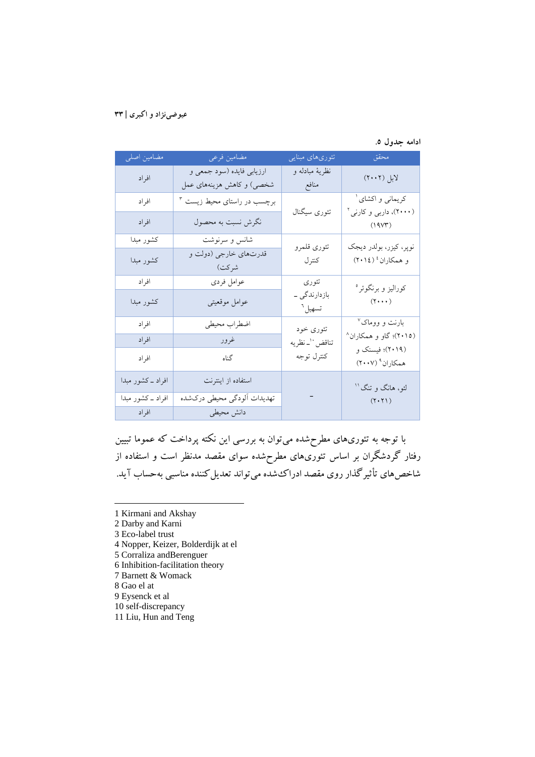#### **ادامه جدول .5**

| مضامین اصلی        | مضامین فرعی                                            | تئورىهاى مبنايي                              | محقق                                                         |
|--------------------|--------------------------------------------------------|----------------------------------------------|--------------------------------------------------------------|
| افراد              | ارزيابي فايده (سود جمعي و<br>شخصی) و کاهش هزینههای عمل | نظريۀ مبادله و<br>منافع                      | لابل (۲۰۰۲)                                                  |
| افراد              | برچسب در راستای محیط زیست ۳                            |                                              | کریمانی و اکشای <sup>آ</sup>                                 |
| افراد              | نگرش نسبت به محصول                                     | تئوري سيگنال                                 | (۲۰۰۰)، داربی و کارنی <sup>۲</sup><br>(19V <sup>2</sup> )    |
| كشور مبدا          | شانس و سرنوشت                                          | تئوري قلمرو                                  | نوپر، كيزر، بولدر ديجك<br>و همکاران <sup>؛</sup> (۲۰۱٤)      |
| كشور مبدا          | قدرتهاي خارجي (دولت و<br>شركت)                         | كترل                                         |                                                              |
| افراد              | عوامل فردى                                             | تئوري<br>بازدارندگی ــ<br>تسهيل <sup>٦</sup> | کوراليز و برنگوئر °<br>$(7 \cdots)$                          |
| كشور مبدا          | عوامل موقعيتى                                          |                                              |                                                              |
| افراد              | اضطراب محيطي                                           | تئوری خود<br>تناقض ``_ نظريه<br>كنترل توجه   | بارنت و ووماک <sup>۷</sup>                                   |
| افراد              | غرور                                                   |                                              | (۲۰۱۵)؛ گاو و همکاران^<br>(۲۰۱۹)؛ فیسنک و<br>همکاران۹ (۲۰۰۷) |
| افراد              | گناه                                                   |                                              |                                                              |
| افراد ــ کشور مبدا | استفاده از اینترنت                                     |                                              | لئو، هانگ و تنگ''                                            |
| افراد _کشور مبدا   | تهديدات ألودگي محيطي دركشده                            |                                              | $(Y \cdot Y)$                                                |
| افراد              | دانش محیطی                                             |                                              |                                                              |

با توجه به تئوريهاي مطرحشده میتوان به بررسی این نکته پرداخت که عموما تبیین رفتار گردشگران بر اساس تئوريهاي مطرحشده سواي مقصد مدنظر است و استفاده از شاخصهاي تأثیرگذار روي مقصد ادراكشده میتواند تعدیلکننده مناسبی بهحساب آید.

- 1 Kirmani and Akshay
- 2 Darby and Karni
- 3 Eco-label trust
- 4 Nopper, Keizer, Bolderdijk at el
- 5 Corraliza andBerenguer
- 6 Inhibition-facilitation theory
- 7 Barnett & Womack
- 8 Gao el at

- 9 Eysenck et al
- 10 self-discrepancy
- 11 Liu, Hun and Teng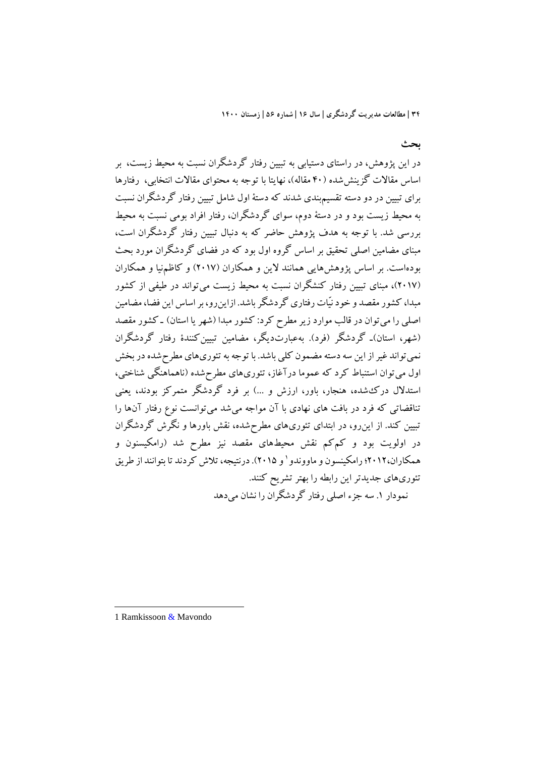**بحث**

در این پژوهش، در راستاي دستیابی به تبیین رفتار گردشگران نسبت به محیط زیست، بر اساس مقالات گزینششده (40 مقاله)، نهایتا با توجه به محتواي مقالات انتخابی، رفتارها براي تبیین در دو دسته تقسیمبندي شدند که دستۀ اول شامل تبیین رفتار گردشگران نسبت به محیط زیست بود و در دستۀ دوم، سواي گردشگران، رفتار افراد بومی نسبت به محیط بررسی شد. با توجه به هدف پژوهش حاضر که به دنبال تبیین رفتار گردشگران است، مبناي مضامین اصلی تحقیق بر اساس گروه اول بود که در فضاي گردشگران مورد بحث بودهاست. بر اساس پژوهشهایی همانند لاین و همکاران (2017) و کاظمنیا و همکاران (2017)، مبناي تبیین رفتار کنشگران نسبت به محیط زیست میتواند در طیفی از کشور مبدا، کشور مقصد و خود نیّات رفتاري گردشگر باشد. ازاینرو، بر اساس این فضا، مضامین اصلی را میتوان در قالب موارد زیر مطرح کرد: کشور مبدا (شهر یا استان) ـ کشور مقصد (شهر، استان)ـ گردشگر (فرد). بهعبارتدیگر، مضامین تبیینکنندة رفتار گردشگران نمیتواند غیر از این سه دسته مضمون کلی باشد. با توجه به تئوريهاي مطرحشدهدر بخش اول میتوان استنباط کرد که عموما درآغاز، تئوريهاي مطرحشده (ناهماهنگی شناختی، استدلال دركشده، هنجار، باور، ارزش و ...) بر فرد گردشگر متمرکز بودند، یعنی تناقضاتی که فرد در بافت هاي نهادي با آن مواجه میشد میتوانست نوع رفتار آنها را تبیین کند. از اینرو، در ابتداي تئوريهاي مطرحشده، نقش باورها و نگرش گردشگران در اولویت بود و کمکم نقش محیطهاي مقصد نیز مطرح شد (رامکیسنون و همکاران،۲۰۱۲؛ رامکینسون و ماووندو ' و ۲۰۱۵). درنتیجه، تلاش کردند تا بتوانند از طریق تئوريهاي جدیدتر این رابطه را بهتر تشریح کنند. نمودار .1 سه جزء اصلی رفتار گردشگران را نشان میدهد

1 Ramkissoon & Mavondo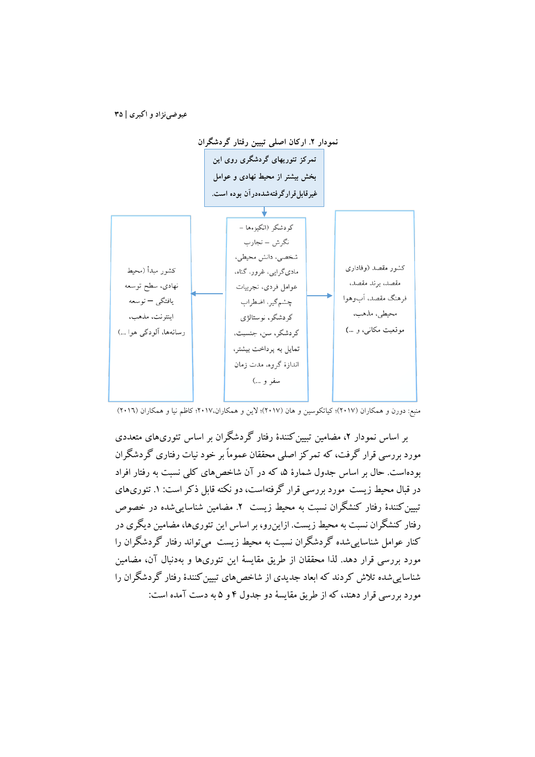

منبع: دورن و همکاران (2017)؛ کیاتکوسین و هان (2017)؛ لاین و همکاران2017،؛ کاظم نیا و همکاران (2016)

بر اساس نمودار ۲، مضامین تبیین کنندهٔ رفتار گردشگران بر اساس تئوريهاي متعددي مورد بررسی قرار گرفت، که تمرکز اصلی محققان عموماً بر خود نیات رفتاري گردشگران بودهاست. حال بر اساس جدول شمارهٔ ۵، که در آن شاخصهای کلی نسبت به رفتار افراد در قبال محیط زیست مورد بررسی قرار گرفتهاست، دو نکته قابل ذکر است: ۱. تئوریهای تبیین کنندهٔ رفتار کنشگران نسبت به محیط زیست ۲. مضامین شناسایی شده در خصوص رفتار کنشگران نسبت به محیط زیست. ازاینرو، بر اساس این تئوريها، مضامین دیگري در کنار عوامل شناساییشده گردشگران نسبت به محیط زیست میتواند رفتار گردشگران را مورد بررسی قرار دهد. لذا محققان از طریق مقایسۀ این تئوريها و بهدنبال آن، مضامین شناساییشده تلاش کردند که ابعاد جدیدي از شاخصهاي تبیینکنندة رفتار گردشگران را مورد بررسی قرار دهند، که از طریق مقایسۀ دو جدول 4 و 5 به دست آمده است: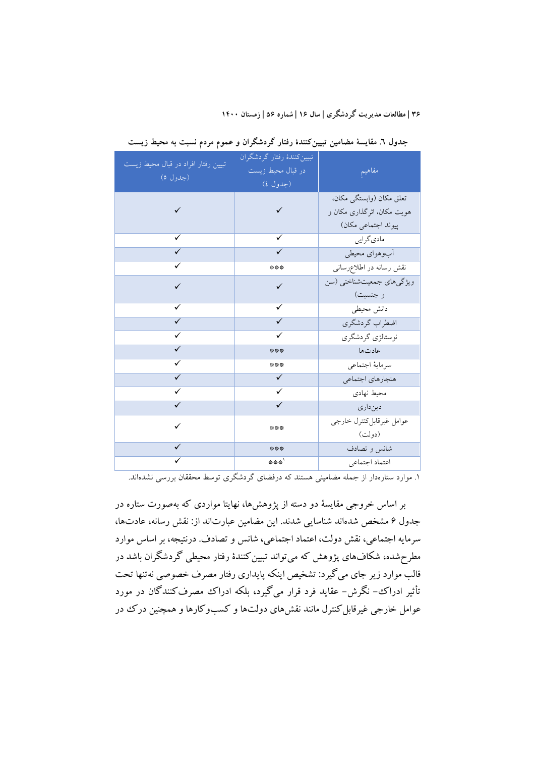| تبیین رفتار افراد در قبال محیط زیست | تبيين كنندة رفتار كردشگران |                             |
|-------------------------------------|----------------------------|-----------------------------|
| (جدول ٥)                            | در قبال محیط زیست          | مفاهيم                      |
|                                     | (جدول ٤)                   |                             |
|                                     |                            | تعلق مکان (وابستگی مکان،    |
|                                     | ✓                          | هويت مكان، اثر گذارى مكان و |
|                                     |                            | پیوند اجتماعی مکان)         |
| ✓                                   | ✓                          | ماديگرايي                   |
|                                     |                            | أبوهواي محيطي               |
| ✓                                   | ***                        | نقش رسانه در اطلاع رسانى    |
|                                     | $\checkmark$               | ویژگیهای جمعیتشناختی (سن    |
|                                     |                            | و جنسیت)                    |
| ✓                                   | ✓                          | دانش محيطي                  |
| ✓                                   | ✓                          | اضطراب گردشگري              |
|                                     |                            | نوستالژي گردشگري            |
| ✓                                   | ***                        | عادتها                      |
| ✓                                   | ***                        | سرماية اجتماعي              |
| ✓                                   | $\checkmark$               | هنجارهاي اجتماعي            |
| $\checkmark$                        | ✓                          | محيط نهادي                  |
|                                     | ✓                          | دینداری                     |
|                                     | ***                        | عوامل غيرقابل كنترل خارجي   |
|                                     |                            | (دولت)                      |
|                                     | ***                        | شانس وتصادف                 |
|                                     | ***'                       | اعتماد اجتماعي              |

**جدول .6 مقایسۀ مضامین تبیینکنندة رفتار گردشگران و عموم مردم نسبت به محیط زیست**

.1 موارد ستارهدار از جمله مضامینی هستند که درفضاي گردشگري توسط محققان بررسی نشدهاند.

بر اساس خروجی مقایسۀ دو دسته از پژوهشها، نهایتا مواردي که بهصورت ستاره در جدول 6 مشخص شدهاند شناسایی شدند. این مضامین عبارتاند از: نقش رسانه، عادتها، سرمایه اجتماعی، نقش دولت، اعتماد اجتماعی، شانس و تصادف. درنتیجه، بر اساس موارد مطرحشده، شکافهاي پژوهش که میتواند تبیینکنندة رفتار محیطی گردشگران باشد در قالب موارد زیر جاي میگیرد: تشخیص اینکه پایداري رفتار مصرف خصوصی نهتنها تحت تأثیر ادراك- نگرش- عقاید فرد قرار میگیرد، بلکه ادراك مصرفکنندگان در مورد عوامل خارجی غیرقابلکنترل مانند نقشهاي دولتها و کسبوکارها و همچنین درك در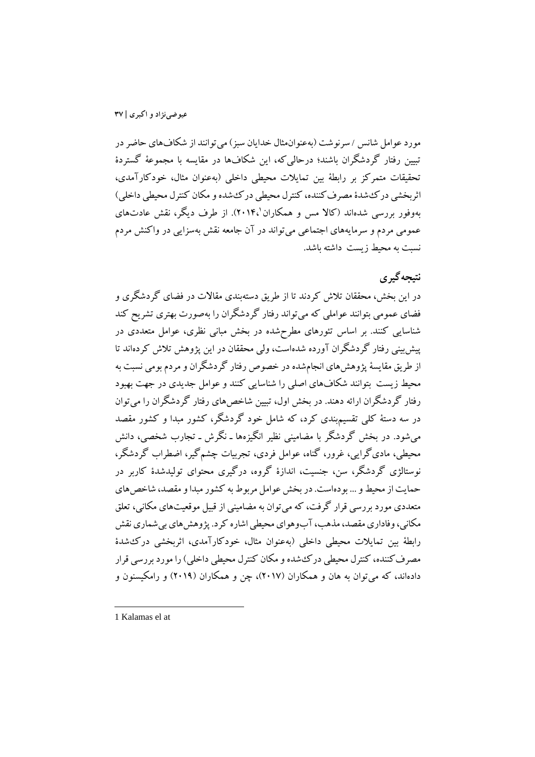مورد عوامل شانس / سرنوشت (بهعنوانمثال خدایان سبز) میتوانند از شکافهاي حاضردر تبیین رفتار گردشگران باشند؛ درحالیکه، این شکافها در مقایسه با مجموعۀ گستردة تحقیقات متمرکز بر رابطۀ بین تمایلات محیطی داخلی (بهعنوان مثال، خودکارآمدي، اثربخشی دركشدة مصرفکننده، کنترل محیطی دركشده و مکان کنترل محیطی داخلی) 2014،). از طرف دیگر، نقش عادتهاي <sup>1</sup> بهوفور بررسی شدهاند (کالا مس و همکاران عمومی مردم و سرمایههاي اجتماعی میتواند در آن جامعه نقش بهسزایی در واکنش مردم نسبت به محیط زیست داشته باشد.

# **نتیجهگیري**

در این بخش، محققان تلاش کردند تا از طریق دستهبندي مقالات در فضاي گردشگري و فضاي عمومی بتوانند عواملی که میتواند رفتار گردشگران را بهصورت بهتري تشریح کند شناسایی کنند. بر اساس تئورهاي مطرحشده در بخش مبانی نظري، عوامل متعددي در پیشبینی رفتار گردشگران آورده شدهاست، ولی محققان در این پژوهش تلاش کردهاند تا از طریق مقایسۀ پژوهشهاي انجامشده در خصوص رفتار گردشگران و مردم بومی نسبت به محیط زیست بتوانند شکافهاي اصلی را شناسایی کنند و عوامل جدیدي در جهت بهبود رفتار گردشگران ارائه دهند. در بخش اول، تبیین شاخصهاي رفتار گردشگران را میتوان در سه دستۀ کلی تقسیمبندي کرد، که شامل خود گردشگر، کشور مبدا و کشور مقصد میشود. در بخش گردشگر با مضامینی نظیر انگیزهها ـ نگرش ـ تجارب شخصی، دانش محیطی، ماديگرایی، غرور، گناه، عوامل فردي، تجربیات چشمگیر، اضطراب گردشگر، نوستالژي گردشگر، سن، جنسیت، اندازة گروه، درگیري محتواي تولیدشدة کاربر در حمایت از محیطو ... بودهاست. در بخش عوامل مربوط به کشور مبدا و مقصد، شاخصهاي متعددي مورد بررسی قرار گرفت، که میتوان به مضامینی از قبیل موقعیتهاي مکانی، تعلق مکانی، وفاداري مقصد، مذهب، آبوهواي محیطی اشاره کرد. پژوهشهاي بیشماري نقش رابطۀ بین تمایلات محیطی داخلی (بهعنوان مثال، خودکارآمدي، اثربخشی دركشدة مصرفکننده، کنترل محیطی دركشده و مکان کنترل محیطی داخلی) را مورد بررسی قرار دادهاند، که میتوان به هان و همکاران (2017)، چن و همکاران (2019) و رامکیسنون و

<sup>1</sup> Kalamas el at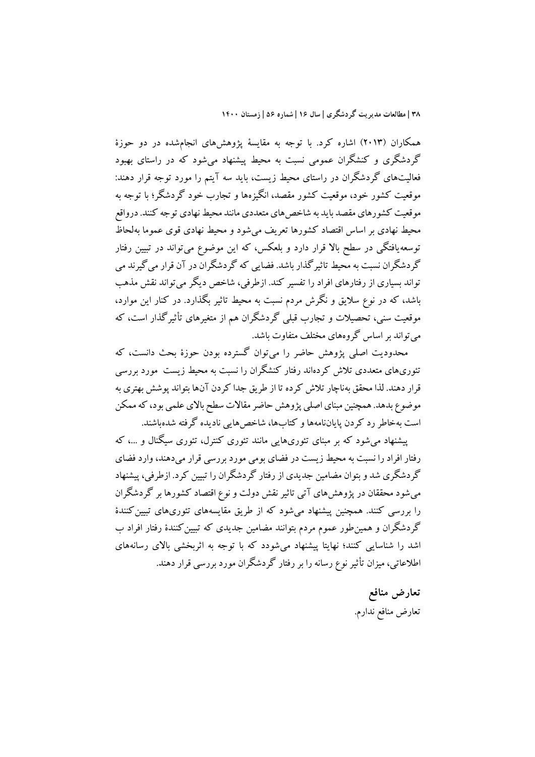همکاران (2013) اشاره کرد. با توجه به مقایسۀ پژوهشهاي انجامشده در دو حوزة گردشگري و کنشگران عمومی نسبت به محیط پیشنهاد میشود که در راستاي بهبود فعالیتهاي گردشگران در راستاي محیط زیست، باید سه آیتم را مورد توجه قرار دهند: موقعیت کشور خود، موقعیت کشور مقصد، انگیزهها و تجارب خود گردشگر؛ با توجه به موقعیت کشورهاي مقصد باید به شاخصهاي متعددي مانند محیط نهادي توجه کنند. درواقع محیط نهادي بر اساس اقتصاد کشورها تعریف میشود و محیط نهادي قوي عموما بهلحاظ توسعهیافتگی در سطح بالا قرار دارد و بلعکس، که این موضوع میتواند در تبیین رفتار گردشگران نسبت به محیط تاثیرگذارباشد. فضایی که گردشگران در آن قرار میگیرند می تواند بسیاري از رفتارهاي افراد را تفسیر کند. ازطرفی، شاخص دیگر میتواند نقش مذهب باشد، که در نوع سلایق و نگرش مردم نسبت به محیط تاثیر بگذارد. در کنار این موارد، موقعیت سنی، تحصیلات و تجارب قبلی گردشگران هم از متغیرهاي تأثیرگذار است، که میتواند براساس گروههاي مختلف متفاوت باشد.

محدودیت اصلی پژوهش حاضر را میتوان گسترده بودن حوزة بحث دانست، که تئوريهاي متعددي تلاش کردهاند رفتار کنشگران را نسبت به محیط زیست مورد بررسی قرار دهند. لذا محقق بهناچار تلاش کرده تا از طریق جدا کردن آنها بتواند پوشش بهتري به موضوع بدهد. همچنین مبناي اصلی پژوهش حاضر مقالات سطح بالاي علمی بود، که ممکن است بهخاطر رد کردن پایاننامهها و کتابها، شاخصهایی نادیده گرفته شدهباشند.

پیشنهاد میشود که بر مبناي تئوريهایی مانند تئوري کنترل، تئوري سیگنال و ،... که رفتار افراد را نسبت به محیط زیست در فضاي بومی مورد بررسی قرار میدهند، وارد فضاي گردشگري شد و بتوان مضامین جدیدي از رفتار گردشگران را تبیین کرد. ازطرفی، پیشنهاد میشود محققان در پژوهشهاي آتی تاثیر نقش دولت و نوع اقتصاد کشورها بر گردشگران را بررسی کنند. همچنین پیشنهاد می شود که از طریق مقایسههای تئوریهای تبیین کنندهٔ گردشگران و همینطور عموم مردم بتوانند مضامین جدیدي که تبیینکنندة رفتار افراد ب اشد را شناسایی کنند؛ نهایتا پیشنهاد میشودد که با توجه به اثربخشی بالاي رسانههاي اطلاعاتی، میزان تأثیر نوع رسانه را بر رفتار گردشگران مورد بررسی قرار دهند.

> **تعارض منافع** تعارض منافع ندارم.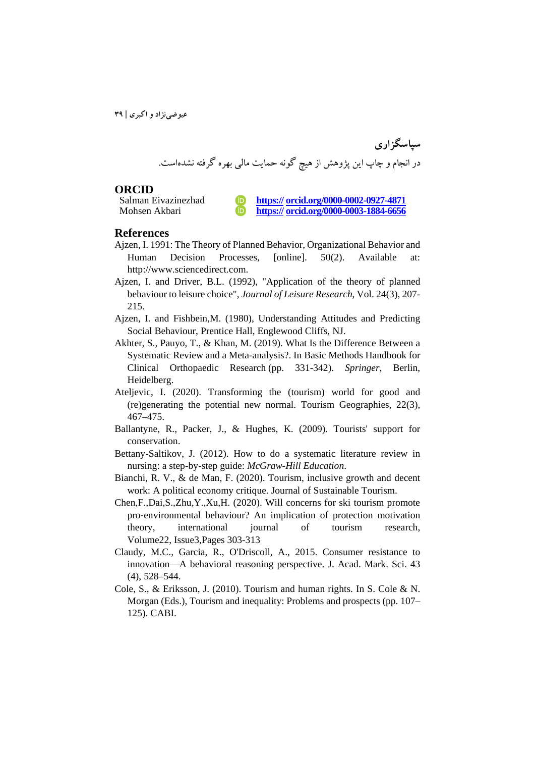**سپاسگزاري** در انجام و چاپ این پژوهش از هیچ گونه حمایت مالی بهره گرفته نشدهاست.

**ORCID**<br>Salman Eivazinezhad

https:// **orcid.org/0000-0002-0927-4871** Mohsen Akbari **https:// orcid.org/0000-0003-1884-6656**

#### **References**

- Ajzen, I. 1991: The Theory of Planned Behavior, Organizational Behavior and Human Decision Processes, [online]. 50(2). Available at: http://www.sciencedirect.com.
- Ajzen, I. and Driver, B.L. (1992), "Application of the theory of planned behaviour to leisure choice", *Journal of Leisure Research*, Vol. 24(3), 207- 215.
- Ajzen, I. and Fishbein,M. (1980), Understanding Attitudes and Predicting Social Behaviour, Prentice Hall, Englewood Cliffs, NJ.
- Akhter, S., Pauyo, T., & Khan, M. (2019). What Is the Difference Between a Systematic Review and a Meta-analysis?. In Basic Methods Handbook for Clinical Orthopaedic Research (pp. 331-342). *Springer*, Berlin, Heidelberg.
- Ateljevic, I. (2020). Transforming the (tourism) world for good and (re)generating the potential new normal. Tourism Geographies, 22(3), 467–475.
- Ballantyne, R., Packer, J., & Hughes, K. (2009). Tourists' support for conservation.
- Bettany-Saltikov, J. (2012). How to do a systematic literature review in nursing: a step-by-step guide: *McGraw*-*Hill Education*.
- Bianchi, R. V., & de Man, F. (2020). Tourism, inclusive growth and decent work: A political economy critique. Journal of Sustainable Tourism.
- Chen,F.,Dai,S.,Zhu,Y.,Xu,H. (2020). Will concerns for ski tourism promote pro-environmental behaviour? An implication of protection motivation<br>theory, international iournal of tourism research, theory, international Volume22, Issue3,Pages 303-313
- Claudy, M.C., Garcia, R., O'Driscoll, A., 2015. Consumer resistance to innovation—A behavioral reasoning perspective. J. Acad. Mark. Sci. 43 (4), 528–544.
- Cole, S., & Eriksson, J. (2010). Tourism and human rights. In S. Cole & N. Morgan (Eds.), Tourism and inequality: Problems and prospects (pp. 107– 125). CABI.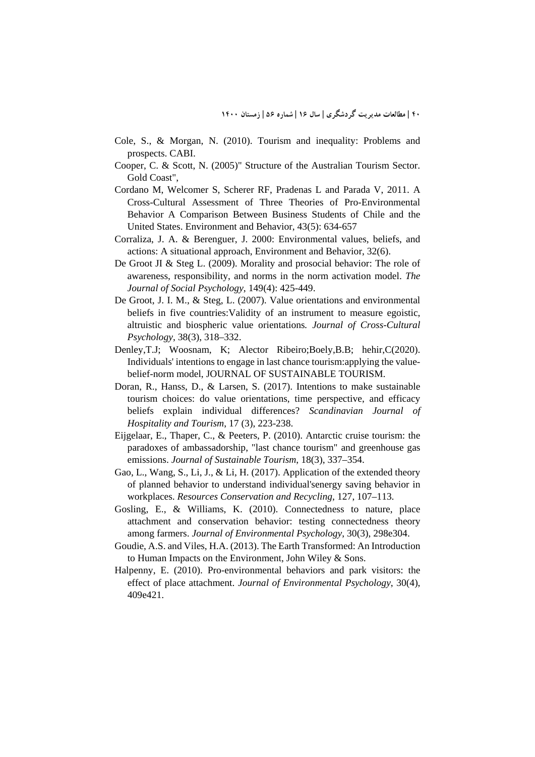- Cole, S., & Morgan, N. (2010). Tourism and inequality: Problems and prospects. CABI.
- Cooper, C. & Scott, N. (2005)" Structure of the Australian Tourism Sector. Gold Coast",
- Cordano M, Welcomer S, Scherer RF, Pradenas L and Parada V, 2011. A Cross-Cultural Assessment of Three Theories of Pro-Environmental Behavior A Comparison Between Business Students of Chile and the United States. Environment and Behavior, 43(5): 634-657
- Corraliza, J. A. & Berenguer, J. 2000: Environmental values, beliefs, and actions: A situational approach, Environment and Behavior, 32(6).
- De Groot JI & Steg L. (2009). Morality and prosocial behavior: The role of awareness, responsibility, and norms in the norm activation model. *The Journal of Social Psychology*, 149(4): 425-449.
- De Groot, J. I. M., & Steg, L. (2007). Value orientations and environmental beliefs in five countries:Validity of an instrument to measure egoistic, altruistic and biospheric value orientations*. Journal of Cross-Cultural Psychology*, 38(3), 318–332.
- Denley, T.J; Woosnam, K; Alector Ribeiro; Boely, B.B; hehir, C(2020). Individuals' intentions to engage in last chance tourism:applying the valuebelief-norm model, JOURNAL OF SUSTAINABLE TOURISM.
- Doran, R., Hanss, D., & Larsen, S. (2017). Intentions to make sustainable tourism choices: do value orientations, time perspective, and efficacy beliefs explain individual differences? *Scandinavian Journal of Hospitality and Tourism*, 17 (3), 223-238.
- Eijgelaar, E., Thaper, C., & Peeters, P. (2010). Antarctic cruise tourism: the paradoxes of ambassadorship, "last chance tourism" and greenhouse gas emissions. *Journal of Sustainable Tourism*, 18(3), 337–354.
- Gao, L., Wang, S., Li, J., & Li, H. (2017). Application of the extended theory of planned behavior to understand individual'senergy saving behavior in workplaces. *Resources Conservation and Recycling*, 127, 107–113.
- Gosling, E., & Williams, K. (2010). Connectedness to nature, place attachment and conservation behavior: testing connectedness theory among farmers. *Journal of Environmental Psychology*, 30(3), 298e304.
- Goudie, A.S. and Viles, H.A. (2013). The Earth Transformed: An Introduction to Human Impacts on the Environment, John Wiley & Sons.
- Halpenny, E. (2010). Pro-environmental behaviors and park visitors: the effect of place attachment. *Journal of Environmental Psychology*, 30(4), 409e421.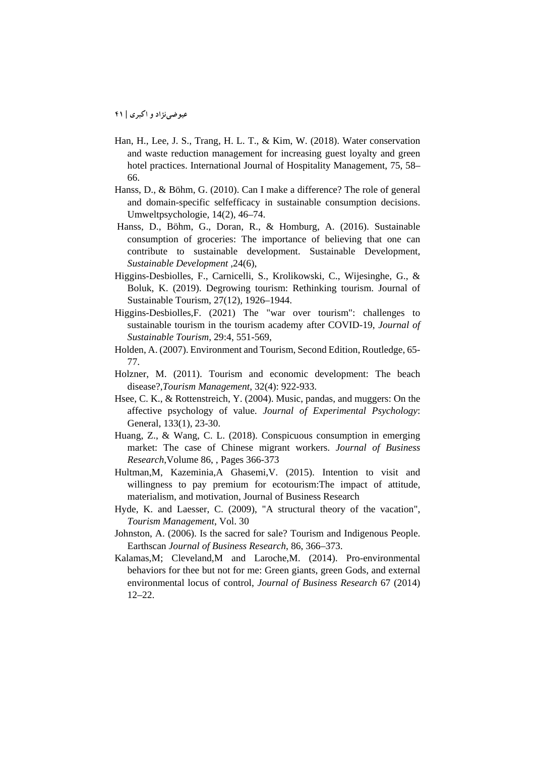- Han, H., Lee, J. S., Trang, H. L. T., & Kim, W. (2018). Water conservation and waste reduction management for increasing guest loyalty and green hotel practices. International Journal of Hospitality Management, 75, 58– 66.
- Hanss, D., & Böhm, G. (2010). Can I make a difference? The role of general and domain-specific selfefficacy in sustainable consumption decisions. Umweltpsychologie, 14(2), 46–74.
- Hanss, D., Böhm, G., Doran, R., & Homburg, A. (2016). Sustainable consumption of groceries: The importance of believing that one can contribute to sustainable development. Sustainable Development, *Sustainable Development* ,24(6),
- Higgins-Desbiolles, F., Carnicelli, S., Krolikowski, C., Wijesinghe, G., & Boluk, K. (2019). Degrowing tourism: Rethinking tourism. Journal of Sustainable Tourism, 27(12), 1926–1944.
- Higgins-Desbiolles,F. (2021) The "war over tourism": challenges to sustainable tourism in the tourism academy after COVID-19, *Journal of Sustainable Tourism*, 29:4, 551-569,
- Holden, A. (2007). Environment and Tourism, Second Edition, Routledge, 65- 77.
- Holzner, M. (2011). Tourism and economic development: The beach disease?,*Tourism Management*, 32(4): 922-933.
- Hsee, C. K., & Rottenstreich, Y. (2004). Music, pandas, and muggers: On the affective psychology of value. *Journal of Experimental Psychology*: General, 133(1), 23-30.
- Huang, Z., & Wang, C. L. (2018). Conspicuous consumption in emerging market: The case of Chinese migrant workers. *Journal of Business Research*,Volume 86, , Pages 366-373
- Hultman,M, Kazeminia,A Ghasemi,V. (2015). Intention to visit and willingness to pay premium for ecotourism:The impact of attitude, materialism, and motivation, Journal of Business Research
- Hyde, K. and Laesser, C. (2009), "A structural theory of the vacation", *Tourism Management*, Vol. 30
- Johnston, A. (2006). Is the sacred for sale? Tourism and Indigenous People. Earthscan *Journal of Business Research*, 86, 366–373.
- Kalamas,M; Cleveland,M and Laroche,M. (2014). Pro-environmental behaviors for thee but not for me: Green giants, green Gods, and external environmental locus of control, *Journal of Business Research* 67 (2014) 12–22.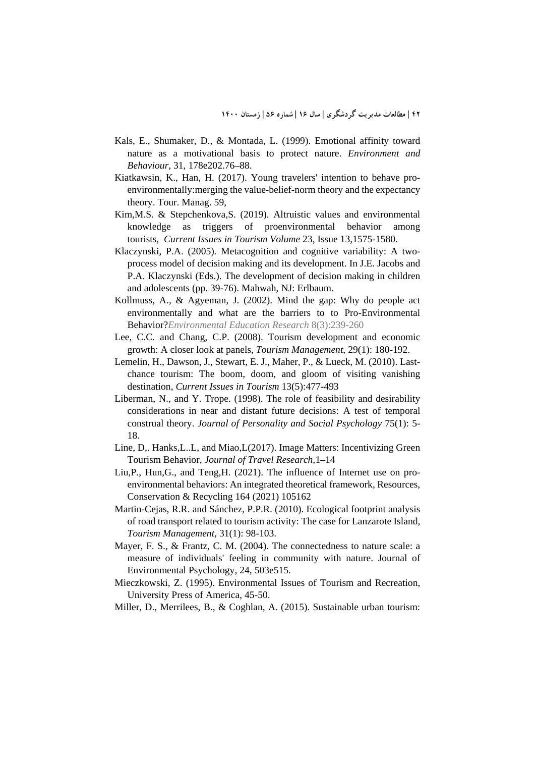- Kals, E., Shumaker, D., & Montada, L. (1999). Emotional affinity toward nature as a motivational basis to protect nature. *Environment and Behaviour*, 31, 178e202.76–88.
- Kiatkawsin, K., Han, H. (2017). Young travelers' intention to behave proenvironmentally:merging the value-belief-norm theory and the expectancy theory. Tour. Manag. 59,
- Kim,M.S. & Stepchenkova,S. (2019). Altruistic values and environmental knowledge as triggers of proenvironmental behavior among tourists, *Current Issues in Tourism Volume* 23, Issue 13,1575-1580.
- Klaczynski, P.A. (2005). Metacognition and cognitive variability: A twoprocess model of decision making and its development. In J.E. Jacobs and P.A. Klaczynski (Eds.). The development of decision making in children and adolescents (pp. 39-76). Mahwah, NJ: Erlbaum.
- Kollmuss, A., & Agyeman, J. (2002). Mind the gap: Why do people act environmentally and what are the barriers to to Pro-Environmental Behavior?*Environmental Education Research* 8(3):239-260
- Lee, C.C. and Chang, C.P. (2008). Tourism development and economic growth: A closer look at panels, *Tourism Management*, 29(1): 180-192.
- Lemelin, H., Dawson, J., Stewart, E. J., Maher, P., & Lueck, M. (2010). Lastchance tourism: The boom, doom, and gloom of visiting vanishing destination, *Current Issues in Tourism* 13(5):477-493
- Liberman, N., and Y. Trope. (1998). The role of feasibility and desirability considerations in near and distant future decisions: A test of temporal construal theory. *Journal of Personality and Social Psychology* 75(1): 5- 18.
- Line, D,. Hanks,L..L, and Miao,L(2017). Image Matters: Incentivizing Green Tourism Behavior, *Journal of Travel Research*,1–14
- Liu,P., Hun,G., and Teng,H. (2021). The influence of Internet use on proenvironmental behaviors: An integrated theoretical framework, Resources, Conservation & Recycling 164 (2021) 105162
- Martin-Cejas, R.R. and Sánchez, P.P.R. (2010). Ecological footprint analysis of road transport related to tourism activity: The case for Lanzarote Island*, Tourism Management*, 31(1): 98-103.
- Mayer, F. S., & Frantz, C. M. (2004). The connectedness to nature scale: a measure of individuals' feeling in community with nature. Journal of Environmental Psychology, 24, 503e515.
- Mieczkowski, Z. (1995). Environmental Issues of Tourism and Recreation, University Press of America, 45-50.
- Miller, D., Merrilees, B., & Coghlan, A. (2015). Sustainable urban tourism: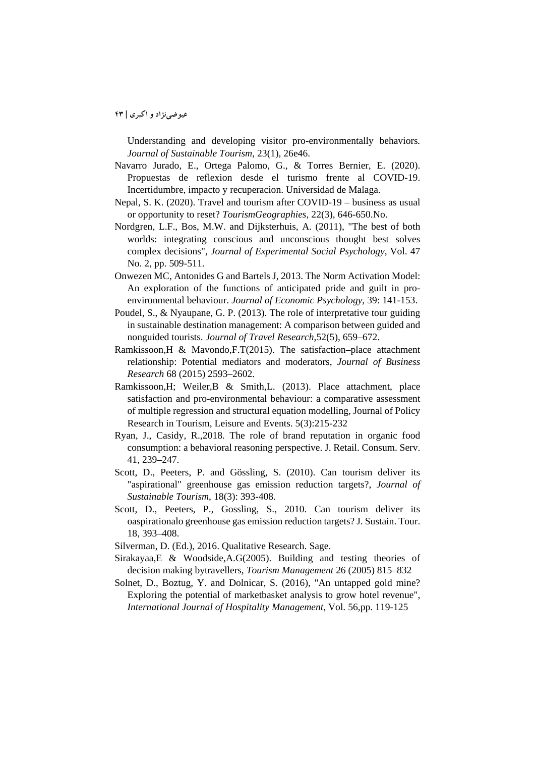Understanding and developing visitor pro-environmentally behaviors*. Journal of Sustainable Tourism*, 23(1), 26e46.

- Navarro Jurado, E., Ortega Palomo, G., & Torres Bernier, E. (2020). Propuestas de reflexion desde el turismo frente al COVID-19. Incertidumbre, impacto y recuperacion. Universidad de Malaga.
- Nepal, S. K. (2020). Travel and tourism after COVID-19 business as usual or opportunity to reset? *TourismGeographies*, 22(3), 646-650.No.
- Nordgren, L.F., Bos, M.W. and Dijksterhuis, A. (2011), "The best of both worlds: integrating conscious and unconscious thought best solves complex decisions", *Journal of Experimental Social Psychology*, Vol. 47 No. 2, pp. 509-511.
- Onwezen MC, Antonides G and Bartels J, 2013. The Norm Activation Model: An exploration of the functions of anticipated pride and guilt in proenvironmental behaviour. *Journal of Economic Psychology*, 39: 141-153.
- Poudel, S., & Nyaupane, G. P. (2013). The role of interpretative tour guiding in sustainable destination management: A comparison between guided and nonguided tourists. *Journal of Travel Research*,52(5), 659–672.
- Ramkissoon,H & Mavondo,F.T(2015). The satisfaction–place attachment relationship: Potential mediators and moderators, *Journal of Business Research* 68 (2015) 2593–2602.
- Ramkissoon,H; Weiler,B & Smith,L. (2013). Place attachment, place satisfaction and pro-environmental behaviour: a comparative assessment of multiple regression and structural equation modelling, Journal of Policy Research in Tourism, Leisure and Events. 5(3):215-232
- Ryan, J., Casidy, R.,2018. The role of brand reputation in organic food consumption: a behavioral reasoning perspective. J. Retail. Consum. Serv. 41, 239–247.
- Scott, D., Peeters, P. and Gössling, S. (2010). Can tourism deliver its "aspirational" greenhouse gas emission reduction targets?, *Journal of Sustainable Tourism*, 18(3): 393-408.
- Scott, D., Peeters, P., Gossling, S., 2010. Can tourism deliver its oaspirationalo greenhouse gas emission reduction targets? J. Sustain. Tour. 18, 393–408.
- Silverman, D. (Ed.), 2016. Qualitative Research. Sage.
- Sirakayaa,E & Woodside,A.G(2005). Building and testing theories of decision making bytravellers, *Tourism Management* 26 (2005) 815–832
- Solnet, D., Boztug, Y. and Dolnicar, S. (2016), "An untapped gold mine? Exploring the potential of marketbasket analysis to grow hotel revenue", *International Journal of Hospitality Management*, Vol. 56,pp. 119-125